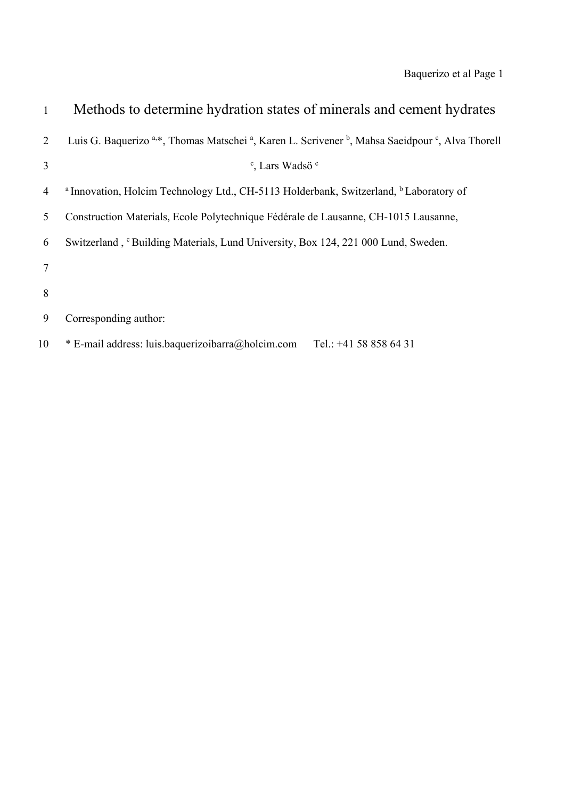| 1  | Methods to determine hydration states of minerals and cement hydrates                                                                           |
|----|-------------------------------------------------------------------------------------------------------------------------------------------------|
| 2  | Luis G. Baquerizo <sup>a,*</sup> , Thomas Matschei <sup>a</sup> , Karen L. Scrivener <sup>b</sup> , Mahsa Saeidpour <sup>c</sup> , Alva Thorell |
| 3  | <sup>c</sup> , Lars Wadsö <sup>c</sup>                                                                                                          |
| 4  | <sup>a</sup> Innovation, Holcim Technology Ltd., CH-5113 Holderbank, Switzerland, <sup>b</sup> Laboratory of                                    |
| 5  | Construction Materials, Ecole Polytechnique Fédérale de Lausanne, CH-1015 Lausanne,                                                             |
| 6  | Switzerland, <sup>c</sup> Building Materials, Lund University, Box 124, 221 000 Lund, Sweden.                                                   |
| 7  |                                                                                                                                                 |
| 8  |                                                                                                                                                 |
| 9  | Corresponding author:                                                                                                                           |
| 10 | * E-mail address: luis.baquerizoibarra@holcim.com<br>Tel.: $+41$ 58 858 64 31                                                                   |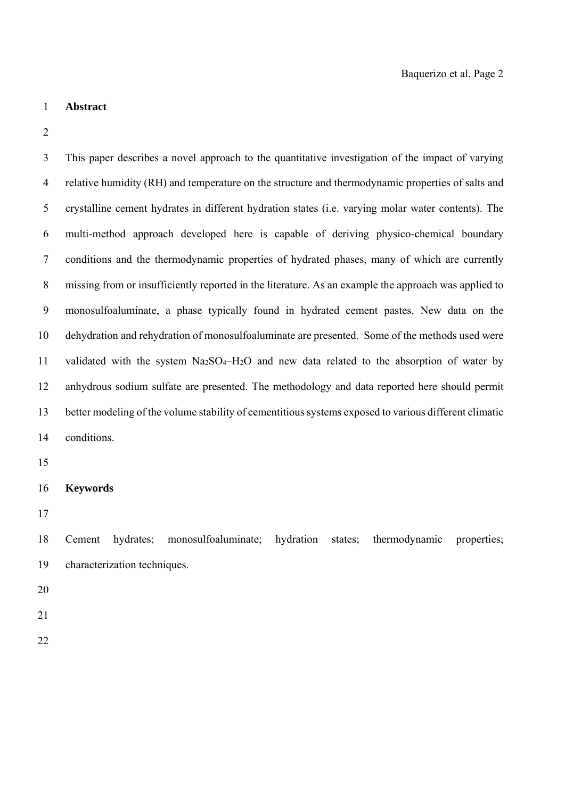#### 1 **Abstract**

2

3 This paper describes a novel approach to the quantitative investigation of the impact of varying 4 relative humidity (RH) and temperature on the structure and thermodynamic properties of salts and 5 crystalline cement hydrates in different hydration states (i.e. varying molar water contents). The 6 multi-method approach developed here is capable of deriving physico-chemical boundary 7 conditions and the thermodynamic properties of hydrated phases, many of which are currently 8 missing from or insufficiently reported in the literature. As an example the approach was applied to 9 monosulfoaluminate, a phase typically found in hydrated cement pastes. New data on the 10 dehydration and rehydration of monosulfoaluminate are presented. Some of the methods used were 11 validated with the system  $Na<sub>2</sub>SO<sub>4</sub>–H<sub>2</sub>O$  and new data related to the absorption of water by 12 anhydrous sodium sulfate are presented. The methodology and data reported here should permit 13 better modeling of the volume stability of cementitious systems exposed to various different climatic 14 conditions.

15

## 16 **Keywords**

17

18 Cement hydrates; monosulfoaluminate; hydration states; thermodynamic properties; 19 characterization techniques.

20

21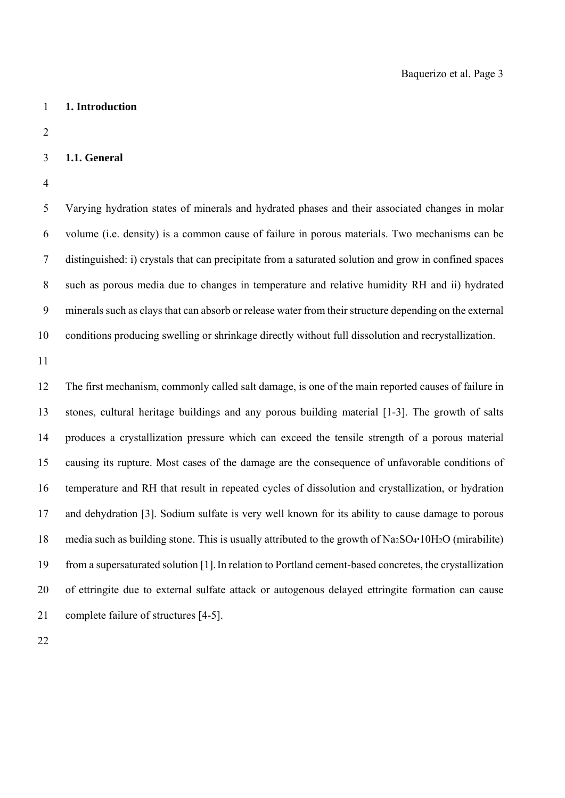#### 1 **1. Introduction**

2

#### 3 **1.1. General**

4

5 Varying hydration states of minerals and hydrated phases and their associated changes in molar 6 volume (i.e. density) is a common cause of failure in porous materials. Two mechanisms can be 7 distinguished: i) crystals that can precipitate from a saturated solution and grow in confined spaces 8 such as porous media due to changes in temperature and relative humidity RH and ii) hydrated 9 minerals such as clays that can absorb or release water from their structure depending on the external 10 conditions producing swelling or shrinkage directly without full dissolution and recrystallization.

11

12 The first mechanism, commonly called salt damage, is one of the main reported causes of failure in 13 stones, cultural heritage buildings and any porous building material [1-3]. The growth of salts 14 produces a crystallization pressure which can exceed the tensile strength of a porous material 15 causing its rupture. Most cases of the damage are the consequence of unfavorable conditions of 16 temperature and RH that result in repeated cycles of dissolution and crystallization, or hydration 17 and dehydration [3]. Sodium sulfate is very well known for its ability to cause damage to porous 18 media such as building stone. This is usually attributed to the growth of Na2SO4**·**10H2O (mirabilite) 19 from a supersaturated solution [1].In relation to Portland cement-based concretes, the crystallization 20 of ettringite due to external sulfate attack or autogenous delayed ettringite formation can cause 21 complete failure of structures [4-5].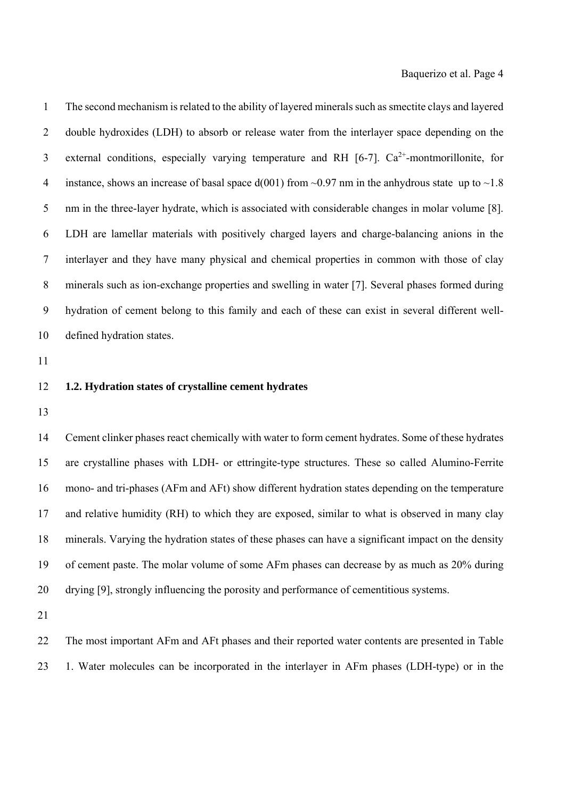1 The second mechanism is related to the ability of layered minerals such as smectite clays and layered 2 double hydroxides (LDH) to absorb or release water from the interlayer space depending on the 3 external conditions, especially varying temperature and RH  $[6-7]$ .  $Ca^{2+}$ -montmorillonite, for 4 instance, shows an increase of basal space  $d(001)$  from  $\sim 0.97$  nm in the anhydrous state up to  $\sim 1.8$ 5 nm in the three-layer hydrate, which is associated with considerable changes in molar volume [8]. 6 LDH are lamellar materials with positively charged layers and charge-balancing anions in the 7 interlayer and they have many physical and chemical properties in common with those of clay 8 minerals such as ion-exchange properties and swelling in water [7]. Several phases formed during 9 hydration of cement belong to this family and each of these can exist in several different well-10 defined hydration states.

11

### 12 **1.2. Hydration states of crystalline cement hydrates**

13

14 Cement clinker phases react chemically with water to form cement hydrates. Some of these hydrates 15 are crystalline phases with LDH- or ettringite-type structures. These so called Alumino-Ferrite 16 mono- and tri-phases (AFm and AFt) show different hydration states depending on the temperature 17 and relative humidity (RH) to which they are exposed, similar to what is observed in many clay 18 minerals. Varying the hydration states of these phases can have a significant impact on the density 19 of cement paste. The molar volume of some AFm phases can decrease by as much as 20% during 20 drying [9], strongly influencing the porosity and performance of cementitious systems.

21

22 The most important AFm and AFt phases and their reported water contents are presented in Table 23 1. Water molecules can be incorporated in the interlayer in AFm phases (LDH-type) or in the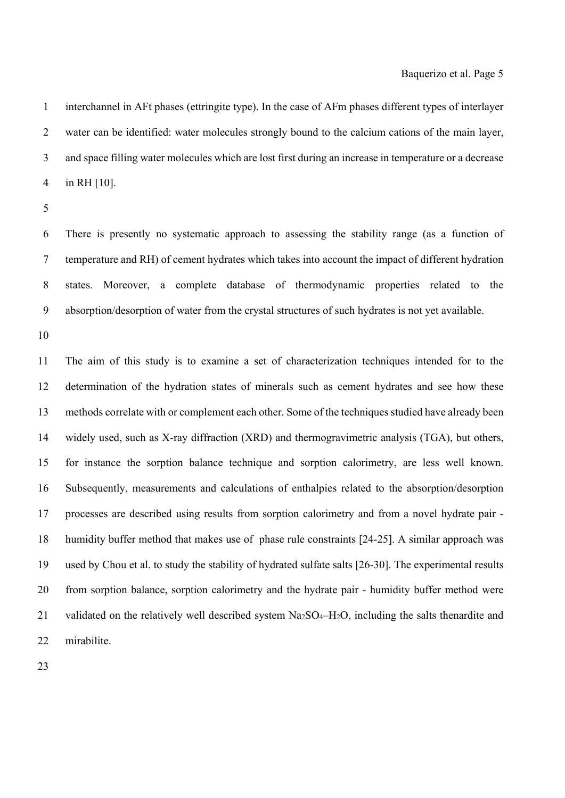1 interchannel in AFt phases (ettringite type). In the case of AFm phases different types of interlayer 2 water can be identified: water molecules strongly bound to the calcium cations of the main layer, 3 and space filling water molecules which are lost first during an increase in temperature or a decrease 4 in RH [10].

5

6 There is presently no systematic approach to assessing the stability range (as a function of 7 temperature and RH) of cement hydrates which takes into account the impact of different hydration 8 states. Moreover, a complete database of thermodynamic properties related to the 9 absorption/desorption of water from the crystal structures of such hydrates is not yet available.

10

11 The aim of this study is to examine a set of characterization techniques intended for to the 12 determination of the hydration states of minerals such as cement hydrates and see how these 13 methods correlate with or complement each other. Some of the techniques studied have already been 14 widely used, such as X-ray diffraction (XRD) and thermogravimetric analysis (TGA), but others, 15 for instance the sorption balance technique and sorption calorimetry, are less well known. 16 Subsequently, measurements and calculations of enthalpies related to the absorption/desorption 17 processes are described using results from sorption calorimetry and from a novel hydrate pair - 18 humidity buffer method that makes use of phase rule constraints [24-25]. A similar approach was 19 used by Chou et al. to study the stability of hydrated sulfate salts [26-30]. The experimental results 20 from sorption balance, sorption calorimetry and the hydrate pair - humidity buffer method were 21 validated on the relatively well described system Na<sub>2</sub>SO<sub>4</sub>-H<sub>2</sub>O, including the salts thenardite and 22 mirabilite.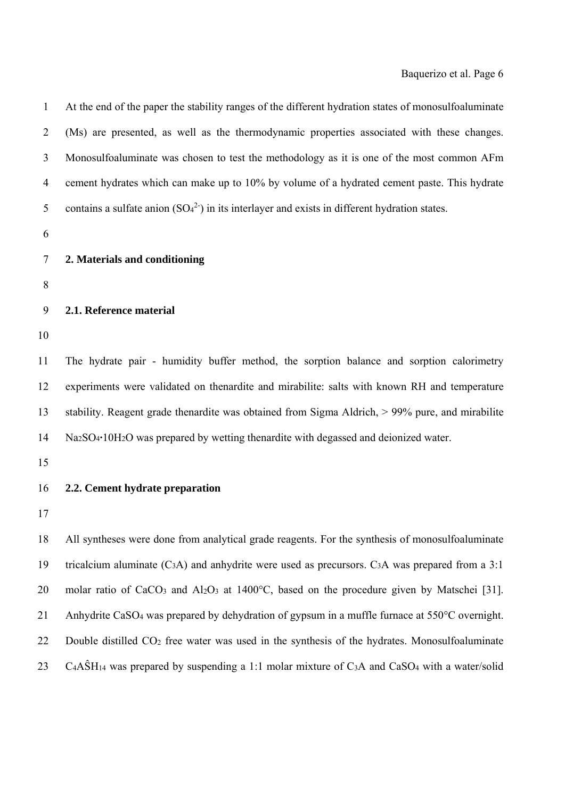| $\mathbf{1}$   | At the end of the paper the stability ranges of the different hydration states of monosulfoaluminate                                       |
|----------------|--------------------------------------------------------------------------------------------------------------------------------------------|
| $\overline{2}$ | (Ms) are presented, as well as the thermodynamic properties associated with these changes.                                                 |
| 3              | Monosulfoaluminate was chosen to test the methodology as it is one of the most common AFm                                                  |
| 4              | cement hydrates which can make up to 10% by volume of a hydrated cement paste. This hydrate                                                |
| 5              | contains a sulfate anion $(SO_4^2)$ in its interlayer and exists in different hydration states.                                            |
| 6              |                                                                                                                                            |
| 7              | 2. Materials and conditioning                                                                                                              |
| 8              |                                                                                                                                            |
| 9              | 2.1. Reference material                                                                                                                    |
| 10             |                                                                                                                                            |
| 11             | The hydrate pair - humidity buffer method, the sorption balance and sorption calorimetry                                                   |
| 12             | experiments were validated on thenardite and mirabilite: salts with known RH and temperature                                               |
| 13             | stability. Reagent grade thenardite was obtained from Sigma Aldrich, $> 99\%$ pure, and mirabilite                                         |
| 14             | Na <sub>2</sub> SO <sub>4</sub> ·10H <sub>2</sub> O was prepared by wetting thenardite with degassed and deionized water.                  |
| 15             |                                                                                                                                            |
| 16             | 2.2. Cement hydrate preparation                                                                                                            |
| 17             |                                                                                                                                            |
| 18             | All syntheses were done from analytical grade reagents. For the synthesis of monosulfoaluminate                                            |
| 19             | tricalcium aluminate $(C3A)$ and anhydrite were used as precursors. $C3A$ was prepared from a 3:1                                          |
| 20             | molar ratio of CaCO <sub>3</sub> and Al <sub>2</sub> O <sub>3</sub> at 1400 <sup>o</sup> C, based on the procedure given by Matschei [31]. |
| 21             | Anhydrite CaSO <sub>4</sub> was prepared by dehydration of gypsum in a muffle furnace at 550°C overnight.                                  |
| 22             | Double distilled CO <sub>2</sub> free water was used in the synthesis of the hydrates. Monosulfoaluminate                                  |
| 23             | $C_4A\hat{S}H_1$ was prepared by suspending a 1:1 molar mixture of $C_3A$ and $CaSO_4$ with a water/solid                                  |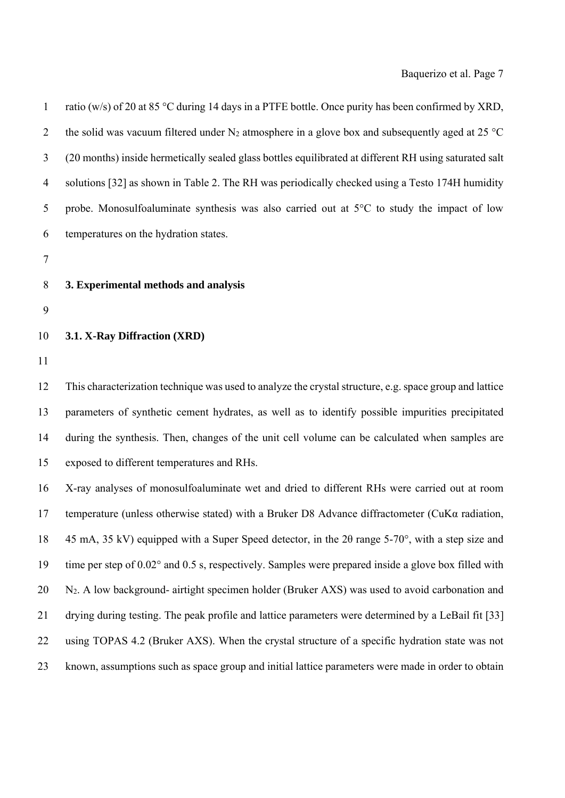| 8            | 3. Experimental methods and analysis                                                                   |
|--------------|--------------------------------------------------------------------------------------------------------|
| 7            |                                                                                                        |
| 6            | temperatures on the hydration states.                                                                  |
| 5            | probe. Monosulfoaluminate synthesis was also carried out at 5°C to study the impact of low             |
| 4            | solutions [32] as shown in Table 2. The RH was periodically checked using a Testo 174H humidity        |
| 3            | (20 months) inside hermetically sealed glass bottles equilibrated at different RH using saturated salt |
| 2            | the solid was vacuum filtered under $N_2$ atmosphere in a glove box and subsequently aged at 25 °C     |
| $\mathbf{1}$ | ratio (w/s) of 20 at 85 °C during 14 days in a PTFE bottle. Once purity has been confirmed by XRD,     |

### 10 **3.1. X-Ray Diffraction (XRD)**

11

12 This characterization technique was used to analyze the crystal structure, e.g. space group and lattice 13 parameters of synthetic cement hydrates, as well as to identify possible impurities precipitated 14 during the synthesis. Then, changes of the unit cell volume can be calculated when samples are 15 exposed to different temperatures and RHs.

16 X-ray analyses of monosulfoaluminate wet and dried to different RHs were carried out at room 17 temperature (unless otherwise stated) with a Bruker D8 Advance diffractometer (CuK $\alpha$  radiation, 18 45 mA, 35 kV) equipped with a Super Speed detector, in the 2θ range 5-70°, with a step size and 19 time per step of 0.02° and 0.5 s, respectively. Samples were prepared inside a glove box filled with 20 N2. A low background- airtight specimen holder (Bruker AXS) was used to avoid carbonation and 21 drying during testing. The peak profile and lattice parameters were determined by a LeBail fit [33] 22 using TOPAS 4.2 (Bruker AXS). When the crystal structure of a specific hydration state was not 23 known, assumptions such as space group and initial lattice parameters were made in order to obtain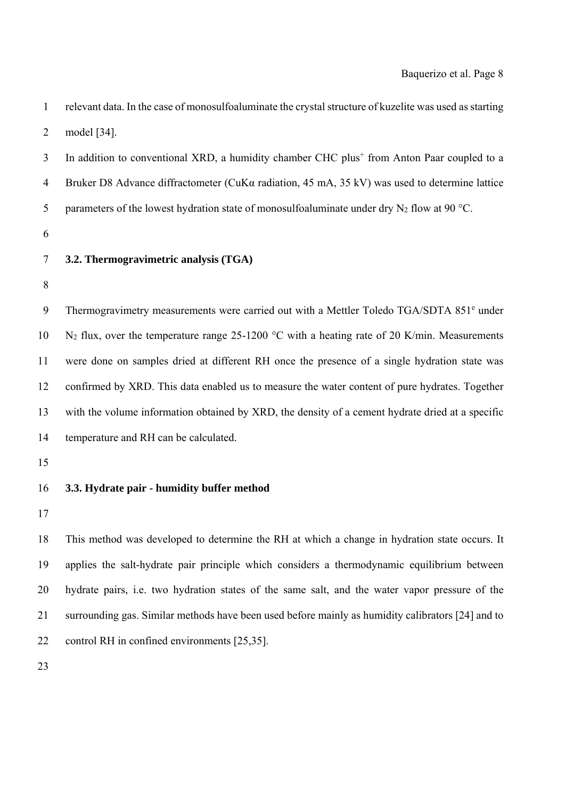| $\mathbf{1}$   | relevant data. In the case of monosulfoaluminate the crystal structure of kuzelite was used as starting |
|----------------|---------------------------------------------------------------------------------------------------------|
| $\overline{2}$ | model [34].                                                                                             |
| 3              | In addition to conventional XRD, a humidity chamber CHC plus <sup>+</sup> from Anton Paar coupled to a  |
| $\overline{4}$ | Bruker D8 Advance diffractometer (CuK $\alpha$ radiation, 45 mA, 35 kV) was used to determine lattice   |
| 5              | parameters of the lowest hydration state of monosulfoaluminate under dry $N_2$ flow at 90 °C.           |
| 6              |                                                                                                         |
| $\tau$         | 3.2. Thermogravimetric analysis (TGA)                                                                   |
| $8\,$          |                                                                                                         |
| $\mathbf{9}$   | Thermogravimetry measurements were carried out with a Mettler Toledo TGA/SDTA 851 <sup>e</sup> under    |
| 10             | $N_2$ flux, over the temperature range 25-1200 °C with a heating rate of 20 K/min. Measurements         |
| 11             | were done on samples dried at different RH once the presence of a single hydration state was            |
| 12             | confirmed by XRD. This data enabled us to measure the water content of pure hydrates. Together          |
| 13             | with the volume information obtained by XRD, the density of a cement hydrate dried at a specific        |
| 14             | temperature and RH can be calculated.                                                                   |
| 15             |                                                                                                         |
| 16             | 3.3. Hydrate pair - humidity buffer method                                                              |
| 17             |                                                                                                         |
| 18             | This method was developed to determine the RH at which a change in hydration state occurs. It           |
| 19             | applies the salt-hydrate pair principle which considers a thermodynamic equilibrium between             |
| 20             | hydrate pairs, i.e. two hydration states of the same salt, and the water vapor pressure of the          |

21 surrounding gas. Similar methods have been used before mainly as humidity calibrators [24] and to

22 control RH in confined environments [25,35].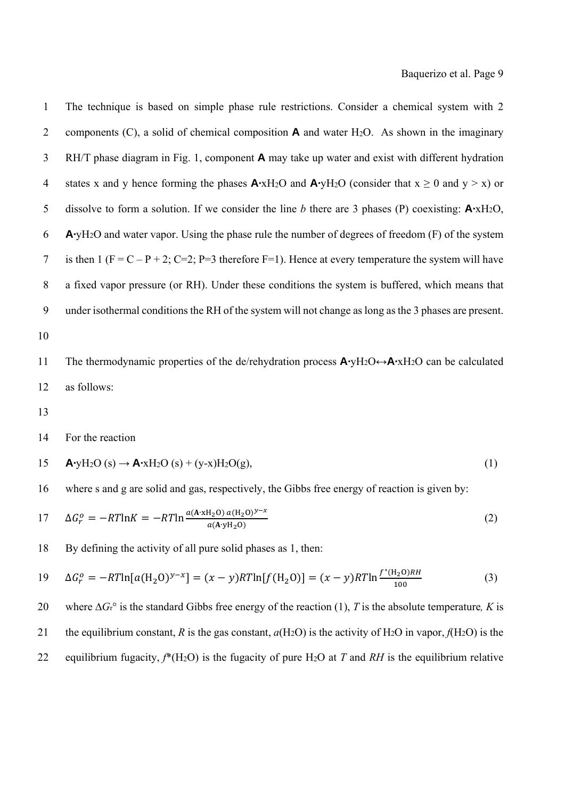1 The technique is based on simple phase rule restrictions. Consider a chemical system with 2 2 components (C), a solid of chemical composition  $\bf{A}$  and water H<sub>2</sub>O. As shown in the imaginary 3 RH/T phase diagram in Fig. 1, component **A** may take up water and exist with different hydration 4 states x and y hence forming the phases  $\mathbf{A} \cdot xH_2O$  and  $\mathbf{A} \cdot yH_2O$  (consider that  $x \ge 0$  and  $y > x$ ) or 5 dissolve to form a solution. If we consider the line *b* there are 3 phases (P) coexisting: **A·**xH2O, 6 **A·**yH2O and water vapor. Using the phase rule the number of degrees of freedom (F) of the system 7 is then  $1 (F = C - P + 2; C = 2; P = 3$  therefore  $F = 1)$ . Hence at every temperature the system will have 8 a fixed vapor pressure (or RH). Under these conditions the system is buffered, which means that 9 under isothermal conditions the RH of the system will not change as long as the 3 phases are present. 10

11 The thermodynamic properties of the de/rehydration process **A·**yH2O↔**A·**xH2O can be calculated 12 as follows:

13

14 For the reaction

15 
$$
\mathbf{A} \cdot \mathbf{y} \mathbf{H}_2 \mathbf{O} \text{ (s)} \rightarrow \mathbf{A} \cdot \mathbf{x} \mathbf{H}_2 \mathbf{O} \text{ (s)} + (\mathbf{y} \cdot \mathbf{x}) \mathbf{H}_2 \mathbf{O} \text{ (g)},
$$
 (1)

16 where s and g are solid and gas, respectively, the Gibbs free energy of reaction is given by:

17 
$$
\Delta G_r^o = -RT \ln K = -RT \ln \frac{a(\mathbf{A} \cdot \mathbf{x} \mathbf{H}_2 \mathbf{O}) a(\mathbf{H}_2 \mathbf{O})^{y-x}}{a(\mathbf{A} \cdot \mathbf{y} \mathbf{H}_2 \mathbf{O})}
$$
(2)

18 By defining the activity of all pure solid phases as 1, then:

19 
$$
\Delta G_r^o = -RT \ln [a(\text{H}_2 \text{O})^{y-x}] = (x-y)RT \ln [f(\text{H}_2 \text{O})] = (x-y)RT \ln \frac{f^*(\text{H}_2 \text{O})RH}{100}
$$
(3)

20 where ∆*G*r° is the standard Gibbs free energy of the reaction (1), *T* is the absolute temperature*, K* is 21 the equilibrium constant, *R* is the gas constant,  $a(H_2O)$  is the activity of H<sub>2</sub>O in vapor,  $f(H_2O)$  is the 22 equilibrium fugacity, *f*\*(H2O) is the fugacity of pure H2O at *T* and *RH* is the equilibrium relative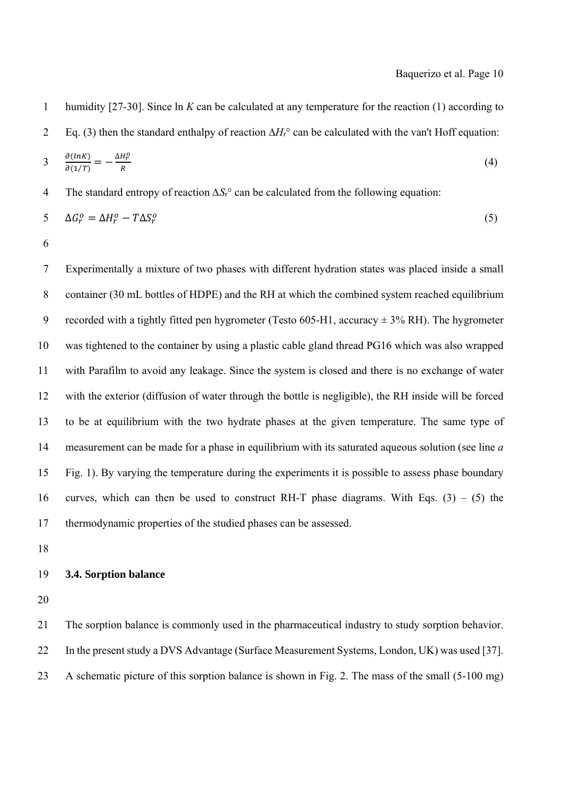1 humidity [27-30]. Since ln *K* can be calculated at any temperature for the reaction (1) according to

2 Eq. (3) then the standard enthalpy of reaction ∆*H*r° can be calculated with the van't Hoff equation:

$$
3 \frac{\partial (ln K)}{\partial (1/T)} = -\frac{\Delta H_r^o}{R} \tag{4}
$$

4 The standard entropy of reaction *∆S*r° can be calculated from the following equation:

$$
5\qquad \Delta G_r^o = \Delta H_r^o - T\Delta S_r^o \tag{5}
$$

6

7 Experimentally a mixture of two phases with different hydration states was placed inside a small 8 container (30 mL bottles of HDPE) and the RH at which the combined system reached equilibrium 9 recorded with a tightly fitted pen hygrometer (Testo 605-H1, accuracy  $\pm$  3% RH). The hygrometer 10 was tightened to the container by using a plastic cable gland thread PG16 which was also wrapped 11 with Parafilm to avoid any leakage. Since the system is closed and there is no exchange of water 12 with the exterior (diffusion of water through the bottle is negligible), the RH inside will be forced 13 to be at equilibrium with the two hydrate phases at the given temperature. The same type of 14 measurement can be made for a phase in equilibrium with its saturated aqueous solution (see line *a* 15 Fig. 1). By varying the temperature during the experiments it is possible to assess phase boundary 16 curves, which can then be used to construct RH-T phase diagrams. With Eqs.  $(3) - (5)$  the 17 thermodynamic properties of the studied phases can be assessed.

18

#### 19 **3.4. Sorption balance**

20

21 The sorption balance is commonly used in the pharmaceutical industry to study sorption behavior. 22 In the present study a DVS Advantage (Surface Measurement Systems, London, UK) was used [37]. 23 A schematic picture of this sorption balance is shown in Fig. 2. The mass of the small (5-100 mg)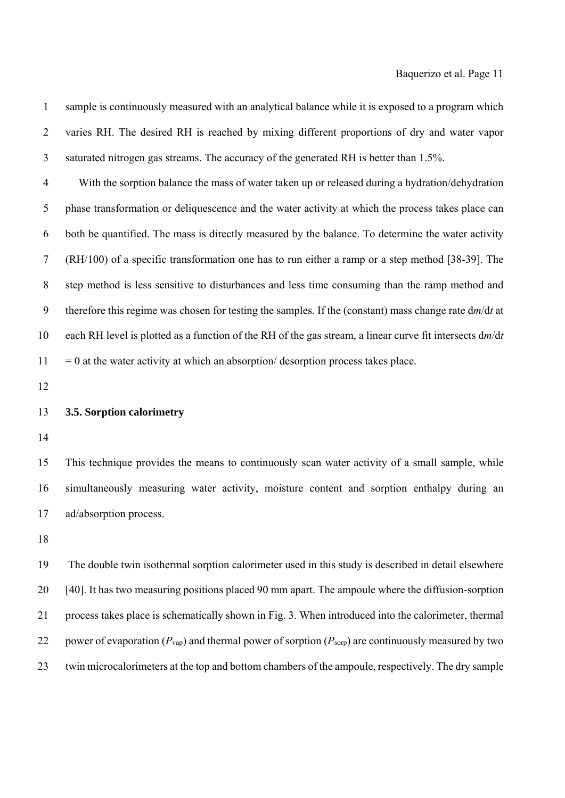4 With the sorption balance the mass of water taken up or released during a hydration/dehydration 5 phase transformation or deliquescence and the water activity at which the process takes place can 6 both be quantified. The mass is directly measured by the balance. To determine the water activity 7 (RH/100) of a specific transformation one has to run either a ramp or a step method [38-39]. The 8 step method is less sensitive to disturbances and less time consuming than the ramp method and 9 therefore this regime was chosen for testing the samples. If the (constant) mass change rate d*m*/d*t* at 10 each RH level is plotted as a function of the RH of the gas stream, a linear curve fit intersects d*m*/d*t*   $11 = 0$  at the water activity at which an absorption/ desorption process takes place.

1 sample is continuously measured with an analytical balance while it is exposed to a program which

12

## 13 **3.5. Sorption calorimetry**

14

15 This technique provides the means to continuously scan water activity of a small sample, while 16 simultaneously measuring water activity, moisture content and sorption enthalpy during an 17 ad/absorption process.

18

19 The double twin isothermal sorption calorimeter used in this study is described in detail elsewhere 20 [40]. It has two measuring positions placed 90 mm apart. The ampoule where the diffusion-sorption 21 process takes place is schematically shown in Fig. 3. When introduced into the calorimeter, thermal 22 power of evaporation (*P*vap) and thermal power of sorption (*P*sorp) are continuously measured by two 23 twin microcalorimeters at the top and bottom chambers of the ampoule, respectively. The dry sample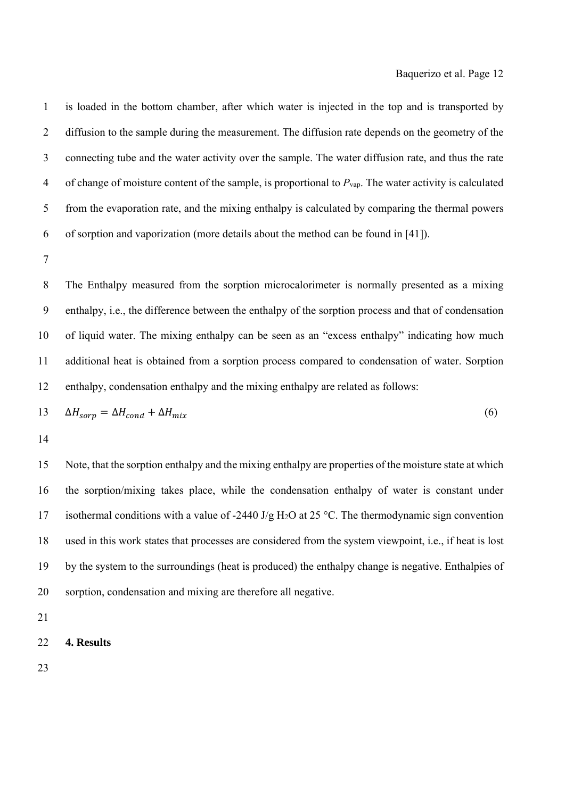1 is loaded in the bottom chamber, after which water is injected in the top and is transported by 2 diffusion to the sample during the measurement. The diffusion rate depends on the geometry of the 3 connecting tube and the water activity over the sample. The water diffusion rate, and thus the rate 4 of change of moisture content of the sample, is proportional to *P*vap. The water activity is calculated 5 from the evaporation rate, and the mixing enthalpy is calculated by comparing the thermal powers 6 of sorption and vaporization (more details about the method can be found in [41]).

7

8 The Enthalpy measured from the sorption microcalorimeter is normally presented as a mixing 9 enthalpy, i.e., the difference between the enthalpy of the sorption process and that of condensation 10 of liquid water. The mixing enthalpy can be seen as an "excess enthalpy" indicating how much 11 additional heat is obtained from a sorption process compared to condensation of water. Sorption 12 enthalpy, condensation enthalpy and the mixing enthalpy are related as follows:

$$
13 \qquad \Delta H_{sorp} = \Delta H_{cond} + \Delta H_{mix} \tag{6}
$$

14

15 Note, that the sorption enthalpy and the mixing enthalpy are properties of the moisture state at which 16 the sorption/mixing takes place, while the condensation enthalpy of water is constant under 17 isothermal conditions with a value of -2440 J/g H<sub>2</sub>O at 25 °C. The thermodynamic sign convention 18 used in this work states that processes are considered from the system viewpoint, i.e., if heat is lost 19 by the system to the surroundings (heat is produced) the enthalpy change is negative. Enthalpies of 20 sorption, condensation and mixing are therefore all negative.

21

22 **4. Results**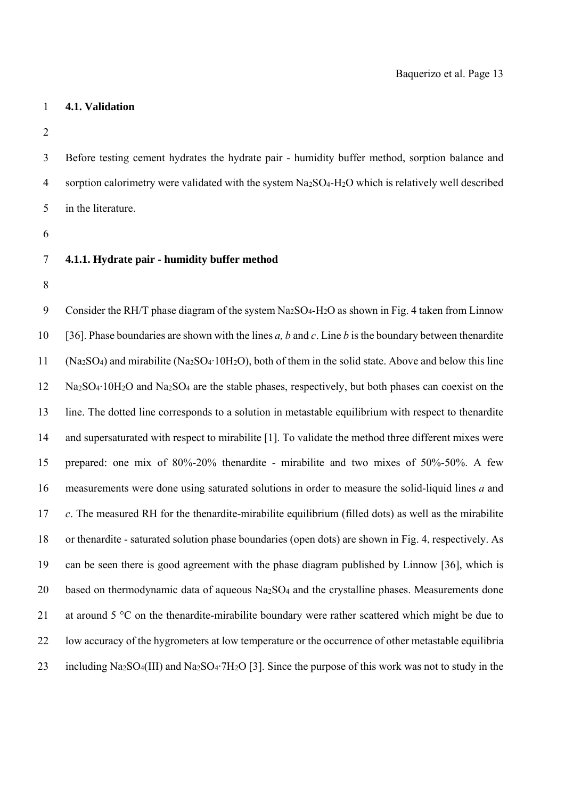#### 1 **4.1. Validation**

2

3 Before testing cement hydrates the hydrate pair - humidity buffer method, sorption balance and 4 sorption calorimetry were validated with the system Na<sub>2</sub>SO<sub>4</sub>-H<sub>2</sub>O which is relatively well described 5 in the literature.

6

## 7 **4.1.1. Hydrate pair - humidity buffer method**

8

9 Consider the RH/T phase diagram of the system Na<sub>2</sub>SO<sub>4</sub>-H<sub>2</sub>O as shown in Fig. 4 taken from Linnow 10 [36]. Phase boundaries are shown with the lines *a, b* and *c*. Line *b* is the boundary between thenardite 11 (Na2SO4) and mirabilite (Na2SO4·10H2O), both of them in the solid state. Above and below this line 12 Na2SO4·10H2O and Na2SO4 are the stable phases, respectively, but both phases can coexist on the 13 line. The dotted line corresponds to a solution in metastable equilibrium with respect to thenardite 14 and supersaturated with respect to mirabilite [1]. To validate the method three different mixes were 15 prepared: one mix of 80%-20% thenardite - mirabilite and two mixes of 50%-50%. A few 16 measurements were done using saturated solutions in order to measure the solid-liquid lines *a* and 17 *c*. The measured RH for the thenardite-mirabilite equilibrium (filled dots) as well as the mirabilite 18 or thenardite - saturated solution phase boundaries (open dots) are shown in Fig. 4, respectively. As 19 can be seen there is good agreement with the phase diagram published by Linnow [36], which is 20 based on thermodynamic data of aqueous Na2SO4 and the crystalline phases. Measurements done 21 at around 5 °C on the thenardite-mirabilite boundary were rather scattered which might be due to 22 low accuracy of the hygrometers at low temperature or the occurrence of other metastable equilibria 23 including Na2SO4(III) and Na2SO4·7H2O [3]. Since the purpose of this work was not to study in the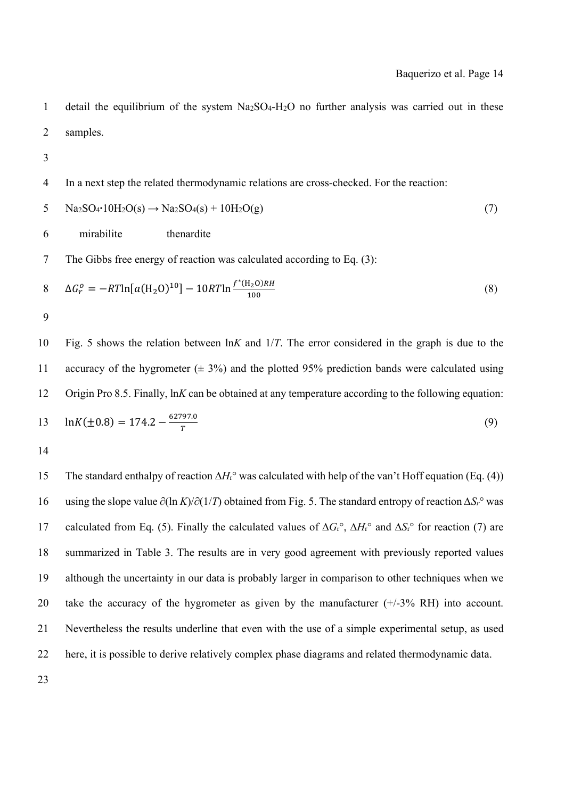1 detail the equilibrium of the system Na2SO4-H2O no further analysis was carried out in these 2 samples. 3 4 In a next step the related thermodynamic relations are cross-checked. For the reaction:  $5$  Na2SO<sub>4</sub>**·**10H<sub>2</sub>O(s)  $\rightarrow$  Na2SO<sub>4</sub>(s) + 10H<sub>2</sub>O(g) (7) 6 mirabilite thenardite 7 The Gibbs free energy of reaction was calculated according to Eq. (3):  $\Delta G_r^o = -RT \ln [a(\text{H}_2 \text{O})^{10}] - 10RT \ln \frac{f^*(\text{H}_2 \text{O})RH}{100}$  (8) 9 10 Fig. 5 shows the relation between ln*K* and 1/*T*. The error considered in the graph is due to the 11 accuracy of the hygrometer  $(\pm 3\%)$  and the plotted 95% prediction bands were calculated using 12 Origin Pro 8.5. Finally, ln*K* can be obtained at any temperature according to the following equation:  $\ln K(\pm 0.8) = 174.2 - \frac{62797.0}{T}$  (9) 14 15 The standard enthalpy of reaction ∆*H*r° was calculated with help of the van't Hoff equation (Eq. (4)) 16 using the slope value ∂(ln *K*)/∂(1/*T*) obtained from Fig. 5. The standard entropy of reaction *∆Sr*° was 17 calculated from Eq. (5). Finally the calculated values of ∆*G*r°, ∆*H*r° and ∆*S*r° for reaction (7) are

18 summarized in Table 3. The results are in very good agreement with previously reported values 19 although the uncertainty in our data is probably larger in comparison to other techniques when we 20 take the accuracy of the hygrometer as given by the manufacturer (+/-3% RH) into account. 21 Nevertheless the results underline that even with the use of a simple experimental setup, as used 22 here, it is possible to derive relatively complex phase diagrams and related thermodynamic data.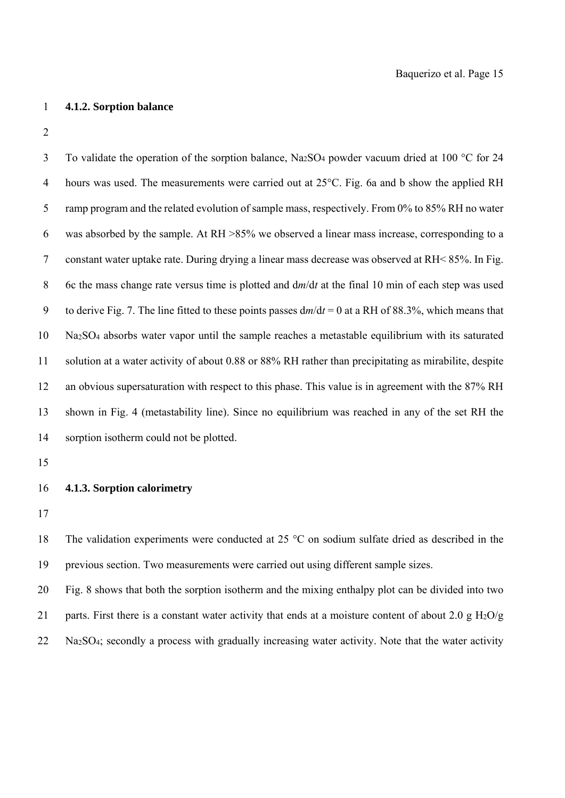### 1 **4.1.2. Sorption balance**

2

3 To validate the operation of the sorption balance, Na<sub>2</sub>SO<sub>4</sub> powder vacuum dried at 100 °C for 24 4 hours was used. The measurements were carried out at 25°C. Fig. 6a and b show the applied RH 5 ramp program and the related evolution of sample mass, respectively. From 0% to 85% RH no water 6 was absorbed by the sample. At RH >85% we observed a linear mass increase, corresponding to a 7 constant water uptake rate. During drying a linear mass decrease was observed at RH< 85%. In Fig. 8 6c the mass change rate versus time is plotted and d*m*/d*t* at the final 10 min of each step was used 9 to derive Fig. 7. The line fitted to these points passes d*m*/d*t* = 0 at a RH of 88.3%, which means that 10 Na2SO4 absorbs water vapor until the sample reaches a metastable equilibrium with its saturated 11 solution at a water activity of about 0.88 or 88% RH rather than precipitating as mirabilite, despite 12 an obvious supersaturation with respect to this phase. This value is in agreement with the 87% RH 13 shown in Fig. 4 (metastability line). Since no equilibrium was reached in any of the set RH the 14 sorption isotherm could not be plotted.

15

## 16 **4.1.3. Sorption calorimetry**

17

18 The validation experiments were conducted at 25 °C on sodium sulfate dried as described in the 19 previous section. Two measurements were carried out using different sample sizes.

20 Fig. 8 shows that both the sorption isotherm and the mixing enthalpy plot can be divided into two 21 parts. First there is a constant water activity that ends at a moisture content of about 2.0 g  $H_2O/g$ 22 Na2SO4; secondly a process with gradually increasing water activity. Note that the water activity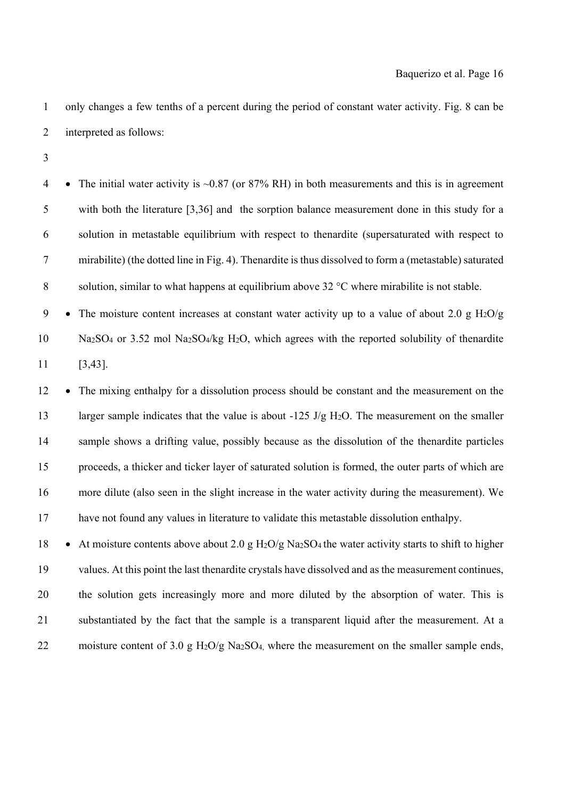1 only changes a few tenths of a percent during the period of constant water activity. Fig. 8 can be 2 interpreted as follows:

3

4 • The initial water activity is  $\sim 0.87$  (or 87% RH) in both measurements and this is in agreement 5 with both the literature [3,36] and the sorption balance measurement done in this study for a 6 solution in metastable equilibrium with respect to thenardite (supersaturated with respect to 7 mirabilite) (the dotted line in Fig. 4). Thenardite is thus dissolved to form a (metastable) saturated 8 solution, similar to what happens at equilibrium above  $32^{\circ}$ C where mirabilite is not stable.

9 • The moisture content increases at constant water activity up to a value of about 2.0 g H<sub>2</sub>O/g 10 Na2SO4 or 3.52 mol Na2SO4/kg H2O, which agrees with the reported solubility of thenardite 11 [3,43].

12 • The mixing enthalpy for a dissolution process should be constant and the measurement on the 13 larger sample indicates that the value is about -125 J/g H<sub>2</sub>O. The measurement on the smaller 14 sample shows a drifting value, possibly because as the dissolution of the thenardite particles 15 proceeds, a thicker and ticker layer of saturated solution is formed, the outer parts of which are 16 more dilute (also seen in the slight increase in the water activity during the measurement). We 17 have not found any values in literature to validate this metastable dissolution enthalpy.

18 • At moisture contents above about 2.0 g H<sub>2</sub>O/g Na<sub>2</sub>SO<sub>4</sub> the water activity starts to shift to higher 19 values. At this point the last thenardite crystals have dissolved and as the measurement continues, 20 the solution gets increasingly more and more diluted by the absorption of water. This is 21 substantiated by the fact that the sample is a transparent liquid after the measurement. At a 22 moisture content of 3.0 g H<sub>2</sub>O/g Na<sub>2</sub>SO<sub>4</sub>, where the measurement on the smaller sample ends,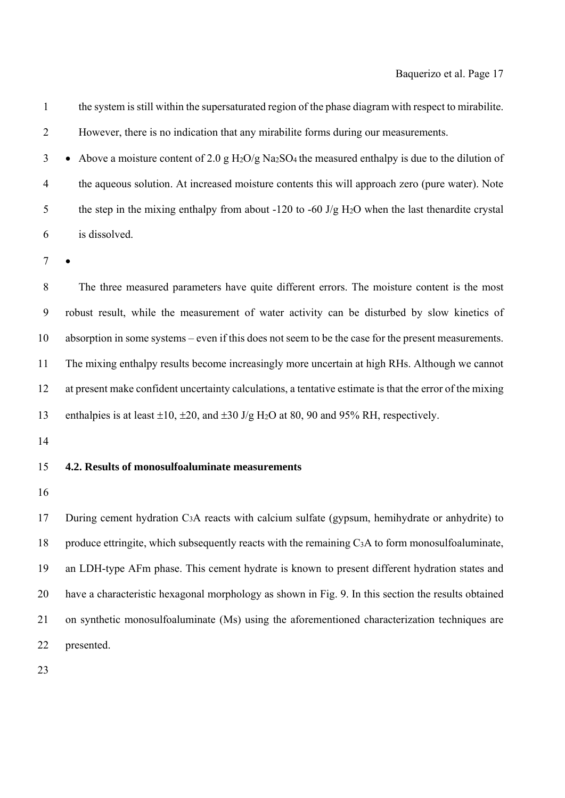1 the system is still within the supersaturated region of the phase diagram with respect to mirabilite. 2 However, there is no indication that any mirabilite forms during our measurements.

3 • Above a moisture content of 2.0 g H<sub>2</sub>O/g Na<sub>2</sub>SO<sub>4</sub> the measured enthalpy is due to the dilution of 4 the aqueous solution. At increased moisture contents this will approach zero (pure water). Note 5 the step in the mixing enthalpy from about -120 to -60 J/g H<sub>2</sub>O when the last thenardite crystal 6 is dissolved.

7

8 The three measured parameters have quite different errors. The moisture content is the most 9 robust result, while the measurement of water activity can be disturbed by slow kinetics of 10 absorption in some systems – even if this does not seem to be the case for the present measurements. 11 The mixing enthalpy results become increasingly more uncertain at high RHs. Although we cannot 12 at present make confident uncertainty calculations, a tentative estimate is that the error of the mixing 13 enthalpies is at least  $\pm 10$ ,  $\pm 20$ , and  $\pm 30$  J/g H<sub>2</sub>O at 80, 90 and 95% RH, respectively.

14

## 15 **4.2. Results of monosulfoaluminate measurements**

16

17 During cement hydration C3A reacts with calcium sulfate (gypsum, hemihydrate or anhydrite) to 18 produce ettringite, which subsequently reacts with the remaining C3A to form monosulfoaluminate, 19 an LDH-type AFm phase. This cement hydrate is known to present different hydration states and 20 have a characteristic hexagonal morphology as shown in Fig. 9. In this section the results obtained 21 on synthetic monosulfoaluminate (Ms) using the aforementioned characterization techniques are 22 presented.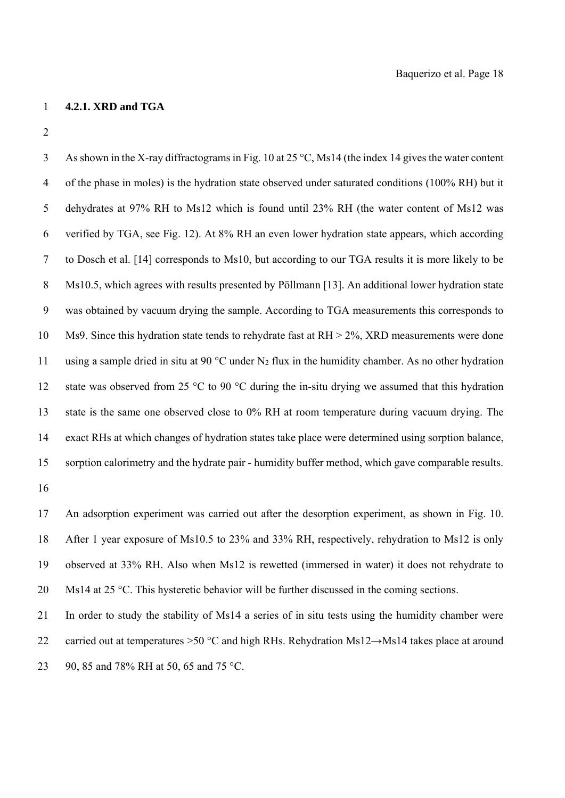### 1 **4.2.1. XRD and TGA**

2

3 As shown in the X-ray diffractograms in Fig. 10 at 25 °C, Ms14 (the index 14 gives the water content 4 of the phase in moles) is the hydration state observed under saturated conditions (100% RH) but it 5 dehydrates at 97% RH to Ms12 which is found until 23% RH (the water content of Ms12 was 6 verified by TGA, see Fig. 12). At 8% RH an even lower hydration state appears, which according 7 to Dosch et al. [14] corresponds to Ms10, but according to our TGA results it is more likely to be 8 Ms10.5, which agrees with results presented by Pöllmann [13]. An additional lower hydration state 9 was obtained by vacuum drying the sample. According to TGA measurements this corresponds to 10 Ms9. Since this hydration state tends to rehydrate fast at RH > 2%, XRD measurements were done 11 using a sample dried in situ at 90 °C under N2 flux in the humidity chamber. As no other hydration 12 state was observed from 25  $\degree$ C to 90  $\degree$ C during the in-situ drying we assumed that this hydration 13 state is the same one observed close to 0% RH at room temperature during vacuum drying. The 14 exact RHs at which changes of hydration states take place were determined using sorption balance, 15 sorption calorimetry and the hydrate pair - humidity buffer method, which gave comparable results. 16

17 An adsorption experiment was carried out after the desorption experiment, as shown in Fig. 10. 18 After 1 year exposure of Ms10.5 to 23% and 33% RH, respectively, rehydration to Ms12 is only 19 observed at 33% RH. Also when Ms12 is rewetted (immersed in water) it does not rehydrate to 20 Ms14 at 25 °C. This hysteretic behavior will be further discussed in the coming sections.

21 In order to study the stability of Ms14 a series of in situ tests using the humidity chamber were 22 carried out at temperatures >50 °C and high RHs. Rehydration Ms12 $\rightarrow$ Ms14 takes place at around 23 90, 85 and 78% RH at 50, 65 and 75 °C.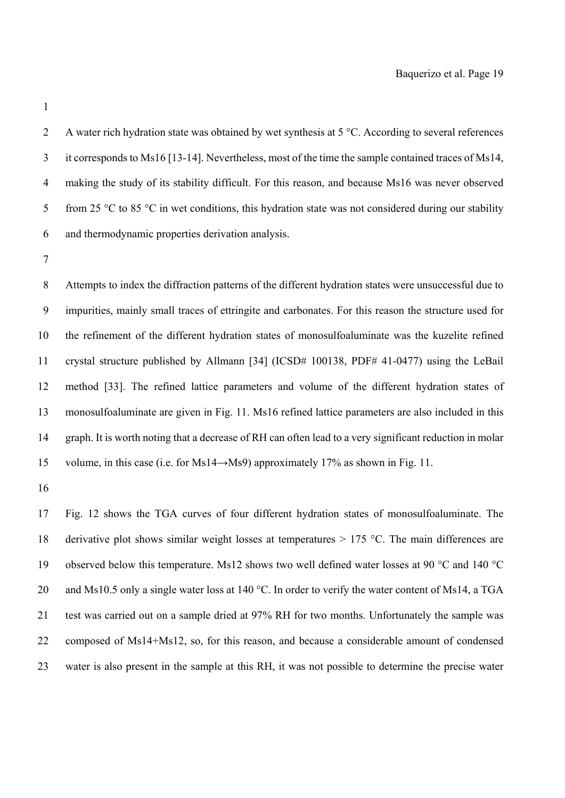2 A water rich hydration state was obtained by wet synthesis at 5 °C. According to several references 3 it corresponds to Ms16 [13-14]. Nevertheless, most of the time the sample contained traces of Ms14, 4 making the study of its stability difficult. For this reason, and because Ms16 was never observed 5 from 25  $\degree$ C to 85  $\degree$ C in wet conditions, this hydration state was not considered during our stability 6 and thermodynamic properties derivation analysis.

7

8 Attempts to index the diffraction patterns of the different hydration states were unsuccessful due to 9 impurities, mainly small traces of ettringite and carbonates. For this reason the structure used for 10 the refinement of the different hydration states of monosulfoaluminate was the kuzelite refined 11 crystal structure published by Allmann [34] (ICSD# 100138, PDF# 41-0477) using the LeBail 12 method [33]. The refined lattice parameters and volume of the different hydration states of 13 monosulfoaluminate are given in Fig. 11. Ms16 refined lattice parameters are also included in this 14 graph. It is worth noting that a decrease of RH can often lead to a very significant reduction in molar 15 volume, in this case (i.e. for Ms14→Ms9) approximately 17% as shown in Fig. 11.

16

17 Fig. 12 shows the TGA curves of four different hydration states of monosulfoaluminate. The 18 derivative plot shows similar weight losses at temperatures  $> 175$  °C. The main differences are 19 observed below this temperature. Ms12 shows two well defined water losses at 90 °C and 140 °C 20 and Ms10.5 only a single water loss at 140 °C. In order to verify the water content of Ms14, a TGA 21 test was carried out on a sample dried at 97% RH for two months. Unfortunately the sample was 22 composed of Ms14+Ms12, so, for this reason, and because a considerable amount of condensed 23 water is also present in the sample at this RH, it was not possible to determine the precise water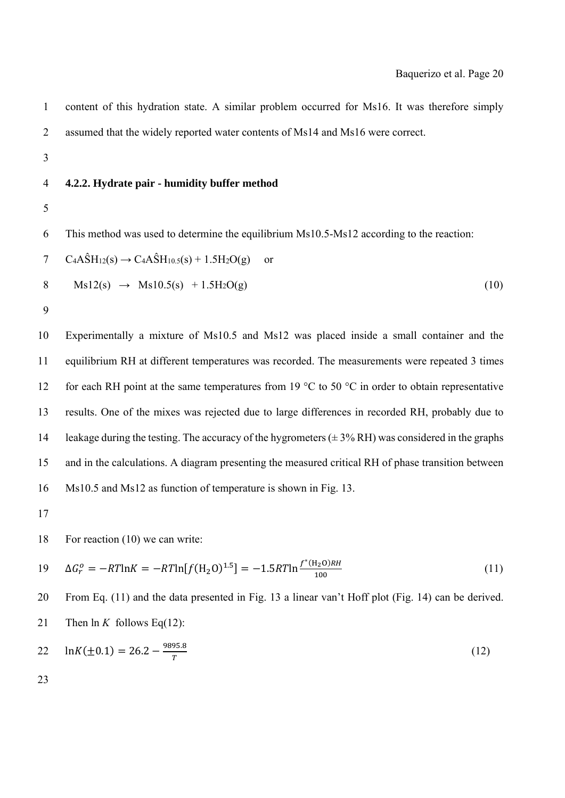| $\mathbf{1}$   | content of this hydration state. A similar problem occurred for Ms16. It was therefore simply                                   |
|----------------|---------------------------------------------------------------------------------------------------------------------------------|
| $\overline{2}$ | assumed that the widely reported water contents of Ms14 and Ms16 were correct.                                                  |
| $\mathfrak{Z}$ |                                                                                                                                 |
| $\overline{4}$ | 4.2.2. Hydrate pair - humidity buffer method                                                                                    |
| 5              |                                                                                                                                 |
| 6              | This method was used to determine the equilibrium Ms10.5-Ms12 according to the reaction:                                        |
| 7              | $C_4A\hat{S}H_{12}(s) \rightarrow C_4A\hat{S}H_{10.5}(s) + 1.5H_2O(g)$<br><sub>or</sub>                                         |
| 8              | $Ms12(s) \rightarrow Ms10.5(s) + 1.5H_2O(g)$<br>(10)                                                                            |
| 9              |                                                                                                                                 |
| 10             | Experimentally a mixture of Ms10.5 and Ms12 was placed inside a small container and the                                         |
| 11             | equilibrium RH at different temperatures was recorded. The measurements were repeated 3 times                                   |
| 12             | for each RH point at the same temperatures from 19 $\degree$ C to 50 $\degree$ C in order to obtain representative              |
| 13             | results. One of the mixes was rejected due to large differences in recorded RH, probably due to                                 |
| 14             | leakage during the testing. The accuracy of the hygrometers $(\pm 3\% \text{ RH})$ was considered in the graphs                 |
| 15             | and in the calculations. A diagram presenting the measured critical RH of phase transition between                              |
| 16             | Ms10.5 and Ms12 as function of temperature is shown in Fig. 13.                                                                 |
| 17             |                                                                                                                                 |
| 18             | For reaction $(10)$ we can write:                                                                                               |
| 19             | $\Delta G_r^o = -RT \ln K = -RT \ln [f(\text{H}_2 \text{O})^{1.5}] = -1.5RT \ln \frac{f^*(\text{H}_2 \text{O})RH}{100}$<br>(11) |
| 20             | From Eq. (11) and the data presented in Fig. 13 a linear van't Hoff plot (Fig. 14) can be derived.                              |
| 21             | Then $\ln K$ follows Eq(12):                                                                                                    |
| 22             | $ln K(\pm 0.1) = 26.2 - \frac{9895.8}{T}$<br>(12)                                                                               |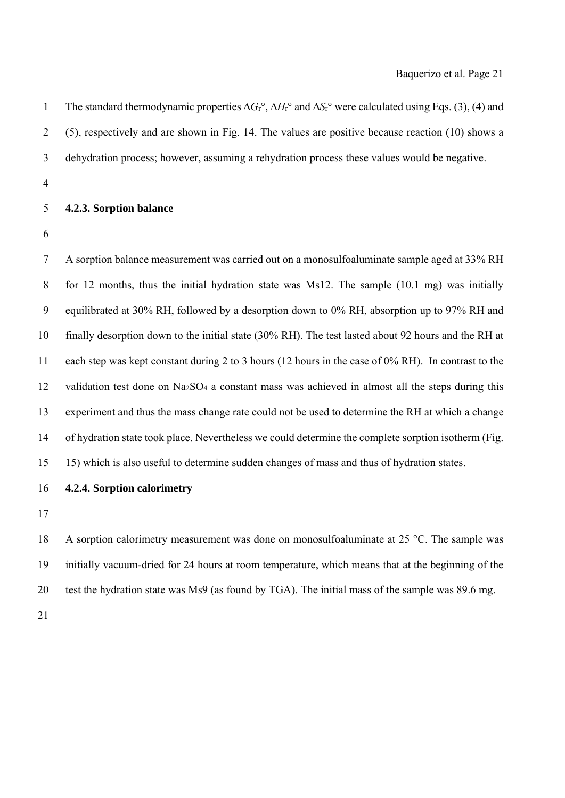| $\mathbf{1}$   | The standard thermodynamic properties $\Delta G_r$ <sup>o</sup> , $\Delta H_r$ <sup>o</sup> and $\Delta S_r$ <sup>o</sup> were calculated using Eqs. (3), (4) and |
|----------------|-------------------------------------------------------------------------------------------------------------------------------------------------------------------|
| $\overline{2}$ | (5), respectively and are shown in Fig. 14. The values are positive because reaction (10) shows a                                                                 |
| 3              | dehydration process; however, assuming a rehydration process these values would be negative.                                                                      |
| $\overline{4}$ |                                                                                                                                                                   |
| 5              | 4.2.3. Sorption balance                                                                                                                                           |
| 6              |                                                                                                                                                                   |
| 7              | A sorption balance measurement was carried out on a monosulfoaluminate sample aged at 33% RH                                                                      |
| 8              | for 12 months, thus the initial hydration state was Ms12. The sample $(10.1 \text{ mg})$ was initially                                                            |
| 9              | equilibrated at 30% RH, followed by a desorption down to 0% RH, absorption up to 97% RH and                                                                       |
| 10             | finally desorption down to the initial state (30% RH). The test lasted about 92 hours and the RH at                                                               |
| 11             | each step was kept constant during 2 to 3 hours (12 hours in the case of 0% RH). In contrast to the                                                               |
| 12             | validation test done on Na <sub>2</sub> SO <sub>4</sub> a constant mass was achieved in almost all the steps during this                                          |
| 13             | experiment and thus the mass change rate could not be used to determine the RH at which a change                                                                  |
| 14             | of hydration state took place. Nevertheless we could determine the complete sorption isotherm (Fig.                                                               |
| 15             | 15) which is also useful to determine sudden changes of mass and thus of hydration states.                                                                        |
| 16             | 4.2.4. Sorption calorimetry                                                                                                                                       |

18 A sorption calorimetry measurement was done on monosulfoaluminate at 25 °C. The sample was 19 initially vacuum-dried for 24 hours at room temperature, which means that at the beginning of the 20 test the hydration state was Ms9 (as found by TGA). The initial mass of the sample was 89.6 mg.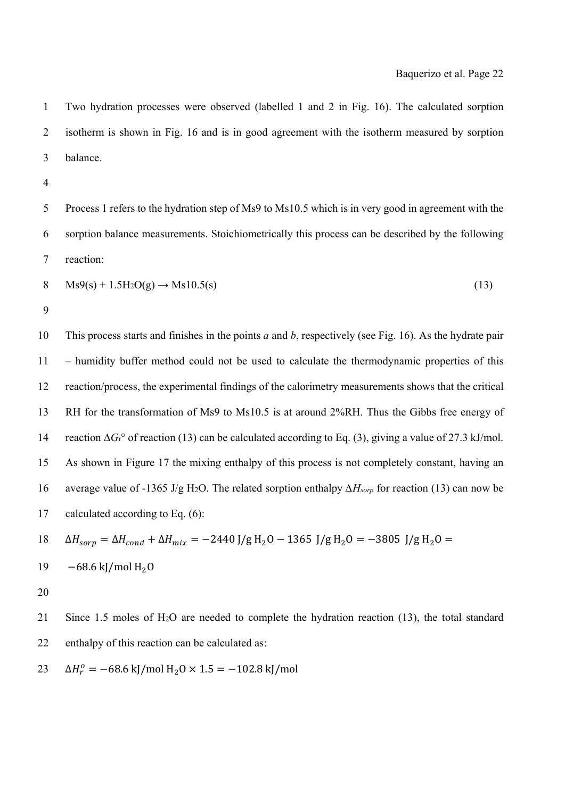1 Two hydration processes were observed (labelled 1 and 2 in Fig. 16). The calculated sorption 2 isotherm is shown in Fig. 16 and is in good agreement with the isotherm measured by sorption 3 balance.

4

5 Process 1 refers to the hydration step of Ms9 to Ms10.5 which is in very good in agreement with the 6 sorption balance measurements. Stoichiometrically this process can be described by the following 7 reaction:

$$
8 \qquad \text{Ms9(s)} + 1.5\text{H}_2\text{O(g)} \rightarrow \text{Ms10.5(s)}\tag{13}
$$

9

10 This process starts and finishes in the points *a* and *b*, respectively (see Fig. 16). As the hydrate pair 11 – humidity buffer method could not be used to calculate the thermodynamic properties of this 12 reaction/process, the experimental findings of the calorimetry measurements shows that the critical 13 RH for the transformation of Ms9 to Ms10.5 is at around 2%RH. Thus the Gibbs free energy of 14 reaction ∆*G*r° of reaction (13) can be calculated according to Eq. (3), giving a value of 27.3 kJ/mol. 15 As shown in Figure 17 the mixing enthalpy of this process is not completely constant, having an 16 average value of -1365 J/g H2O. The related sorption enthalpy *∆Hsorp* for reaction (13) can now be 17 calculated according to Eq. (6):

$$
18 \quad \Delta H_{sorp} = \Delta H_{cond} + \Delta H_{mix} = -2440 \, \text{J/g} \, \text{H}_2\text{O} - 1365 \, \text{J/g} \, \text{H}_2\text{O} = -3805 \, \text{J/g} \, \text{H}_2\text{O} =
$$

$$
19 \quad -68.6 \text{ kJ/mol H}_2\text{O}
$$

20

21 Since 1.5 moles of H2O are needed to complete the hydration reaction (13), the total standard 22 enthalpy of this reaction can be calculated as:

 $\Delta H_r^o = -68.6 \text{ kJ/mol H}_2 \cdot 1.5 = -102.8 \text{ kJ/mol}$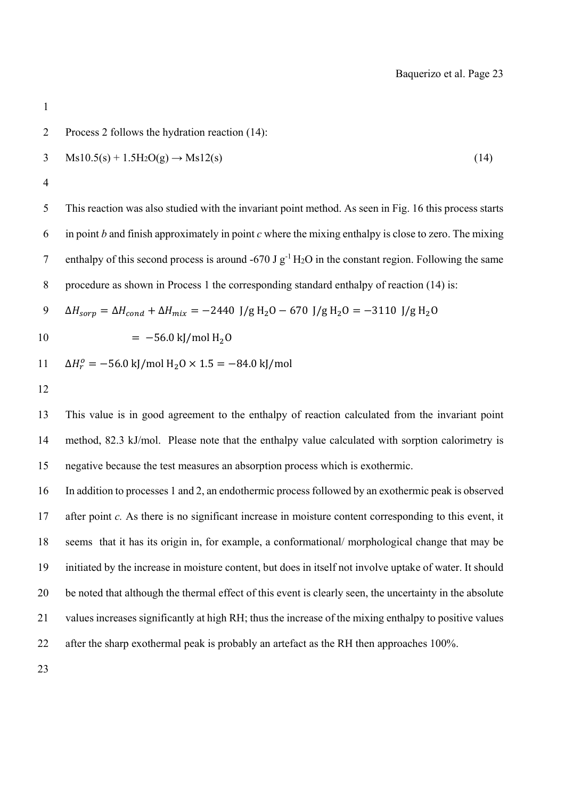2 Process 2 follows the hydration reaction (14):  $3 \text{ Ms10.5(s)} + 1.5\text{H}_2\text{O(g)} \rightarrow \text{Ms12(s)}$  (14) 4 5 This reaction was also studied with the invariant point method. As seen in Fig. 16 this process starts 6 in point *b* and finish approximately in point *c* where the mixing enthalpy is close to zero. The mixing 7 enthalpy of this second process is around -670 J  $g^{-1}$  H<sub>2</sub>O in the constant region. Following the same 8 procedure as shown in Process 1 the corresponding standard enthalpy of reaction (14) is: 9  $\Delta H_{sorp} = \Delta H_{cond} + \Delta H_{mix} = -2440 \text{ J/g H}_2O - 670 \text{ J/g H}_2O = -3110 \text{ J/g H}_2O$  $10 = -56.0 \text{ kJ/mol H}_2$  $11 \Delta H_r^o = -56.0 \text{ kJ/mol H}_2O \times 1.5 = -84.0 \text{ kJ/mol}$ 12 13 This value is in good agreement to the enthalpy of reaction calculated from the invariant point

14 method, 82.3 kJ/mol. Please note that the enthalpy value calculated with sorption calorimetry is 15 negative because the test measures an absorption process which is exothermic.

16 In addition to processes 1 and 2, an endothermic process followed by an exothermic peak is observed 17 after point *c.* As there is no significant increase in moisture content corresponding to this event, it 18 seems that it has its origin in, for example, a conformational/ morphological change that may be 19 initiated by the increase in moisture content, but does in itself not involve uptake of water. It should 20 be noted that although the thermal effect of this event is clearly seen, the uncertainty in the absolute 21 values increases significantly at high RH; thus the increase of the mixing enthalpy to positive values 22 after the sharp exothermal peak is probably an artefact as the RH then approaches 100%.

23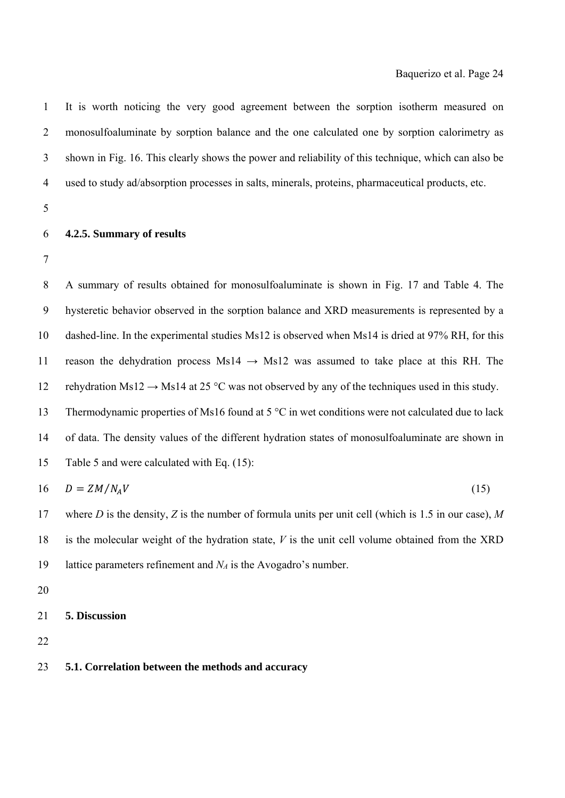1 It is worth noticing the very good agreement between the sorption isotherm measured on 2 monosulfoaluminate by sorption balance and the one calculated one by sorption calorimetry as 3 shown in Fig. 16. This clearly shows the power and reliability of this technique, which can also be 4 used to study ad/absorption processes in salts, minerals, proteins, pharmaceutical products, etc.

5

## 6 **4.2.5. Summary of results**

7

8 A summary of results obtained for monosulfoaluminate is shown in Fig. 17 and Table 4. The 9 hysteretic behavior observed in the sorption balance and XRD measurements is represented by a 10 dashed-line. In the experimental studies Ms12 is observed when Ms14 is dried at 97% RH, for this 11 reason the dehydration process Ms14  $\rightarrow$  Ms12 was assumed to take place at this RH. The 12 rehydration Ms12  $\rightarrow$  Ms14 at 25 °C was not observed by any of the techniques used in this study. 13 Thermodynamic properties of Ms16 found at 5 °C in wet conditions were not calculated due to lack 14 of data. The density values of the different hydration states of monosulfoaluminate are shown in 15 Table 5 and were calculated with Eq. (15):  $16 \t D = ZM/N_A V$  (15) 17 where *D* is the density, *Z* is the number of formula units per unit cell (which is 1.5 in our case), *M*

18 is the molecular weight of the hydration state, *V* is the unit cell volume obtained from the XRD 19 lattice parameters refinement and *NA* is the Avogadro's number.

- 20
- 21 **5. Discussion**
- 22

## 23 **5.1. Correlation between the methods and accuracy**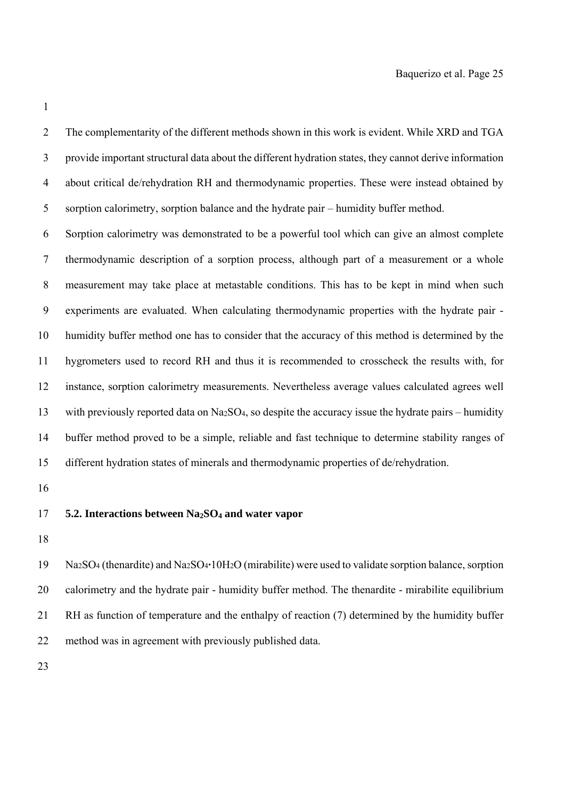3 provide important structural data about the different hydration states, they cannot derive information 4 about critical de/rehydration RH and thermodynamic properties. These were instead obtained by 5 sorption calorimetry, sorption balance and the hydrate pair – humidity buffer method. 6 Sorption calorimetry was demonstrated to be a powerful tool which can give an almost complete 7 thermodynamic description of a sorption process, although part of a measurement or a whole 8 measurement may take place at metastable conditions. This has to be kept in mind when such 9 experiments are evaluated. When calculating thermodynamic properties with the hydrate pair - 10 humidity buffer method one has to consider that the accuracy of this method is determined by the 11 hygrometers used to record RH and thus it is recommended to crosscheck the results with, for 12 instance, sorption calorimetry measurements. Nevertheless average values calculated agrees well 13 with previously reported data on Na2SO4, so despite the accuracy issue the hydrate pairs – humidity 14 buffer method proved to be a simple, reliable and fast technique to determine stability ranges of 15 different hydration states of minerals and thermodynamic properties of de/rehydration.

2 The complementarity of the different methods shown in this work is evident. While XRD and TGA

16

## 17 **5.2. Interactions between Na2SO4 and water vapor**

18

19 Na2SO4 (thenardite) and Na2SO4**·**10H2O (mirabilite) were used to validate sorption balance, sorption 20 calorimetry and the hydrate pair - humidity buffer method. The thenardite - mirabilite equilibrium 21 RH as function of temperature and the enthalpy of reaction (7) determined by the humidity buffer 22 method was in agreement with previously published data.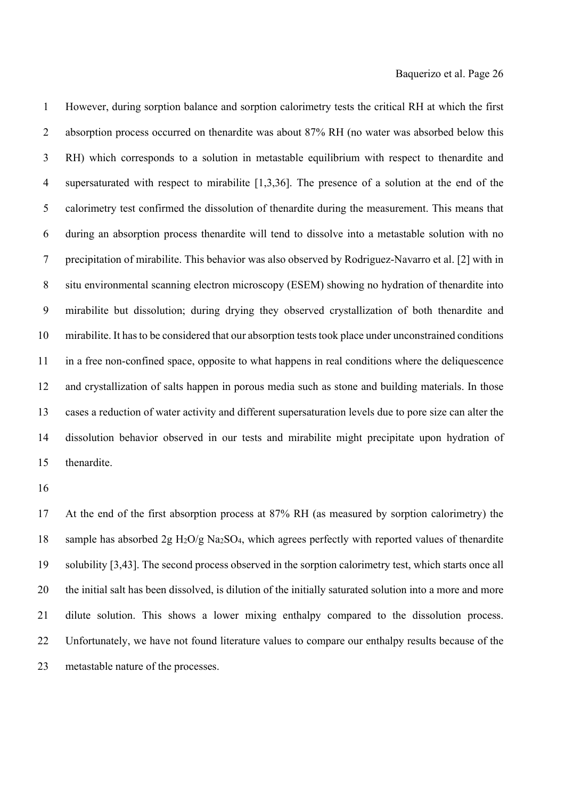1 However, during sorption balance and sorption calorimetry tests the critical RH at which the first 2 absorption process occurred on thenardite was about 87% RH (no water was absorbed below this 3 RH) which corresponds to a solution in metastable equilibrium with respect to thenardite and 4 supersaturated with respect to mirabilite [1,3,36]. The presence of a solution at the end of the 5 calorimetry test confirmed the dissolution of thenardite during the measurement. This means that 6 during an absorption process thenardite will tend to dissolve into a metastable solution with no 7 precipitation of mirabilite. This behavior was also observed by Rodriguez-Navarro et al. [2] with in 8 situ environmental scanning electron microscopy (ESEM) showing no hydration of thenardite into 9 mirabilite but dissolution; during drying they observed crystallization of both thenardite and 10 mirabilite. It has to be considered that our absorption tests took place under unconstrained conditions 11 in a free non-confined space, opposite to what happens in real conditions where the deliquescence 12 and crystallization of salts happen in porous media such as stone and building materials. In those 13 cases a reduction of water activity and different supersaturation levels due to pore size can alter the 14 dissolution behavior observed in our tests and mirabilite might precipitate upon hydration of 15 thenardite.

16

17 At the end of the first absorption process at 87% RH (as measured by sorption calorimetry) the 18 sample has absorbed  $2g H_2O/g Na_2SO_4$ , which agrees perfectly with reported values of thenardite 19 solubility [3,43]. The second process observed in the sorption calorimetry test, which starts once all 20 the initial salt has been dissolved, is dilution of the initially saturated solution into a more and more 21 dilute solution. This shows a lower mixing enthalpy compared to the dissolution process. 22 Unfortunately, we have not found literature values to compare our enthalpy results because of the 23 metastable nature of the processes.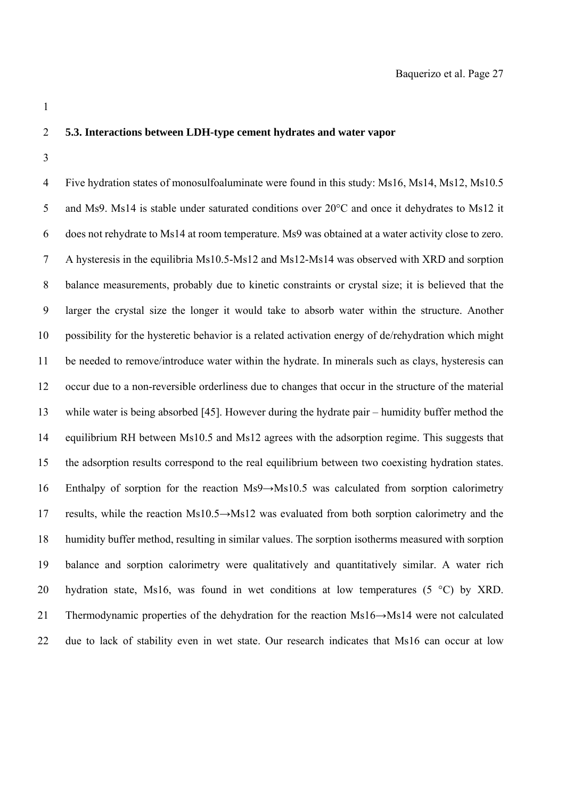## 2 **5.3. Interactions between LDH-type cement hydrates and water vapor**

3

4 Five hydration states of monosulfoaluminate were found in this study: Ms16, Ms14, Ms12, Ms10.5 5 and Ms9. Ms14 is stable under saturated conditions over 20°C and once it dehydrates to Ms12 it 6 does not rehydrate to Ms14 at room temperature. Ms9 was obtained at a water activity close to zero. 7 A hysteresis in the equilibria Ms10.5-Ms12 and Ms12-Ms14 was observed with XRD and sorption 8 balance measurements, probably due to kinetic constraints or crystal size; it is believed that the 9 larger the crystal size the longer it would take to absorb water within the structure. Another 10 possibility for the hysteretic behavior is a related activation energy of de/rehydration which might 11 be needed to remove/introduce water within the hydrate. In minerals such as clays, hysteresis can 12 occur due to a non-reversible orderliness due to changes that occur in the structure of the material 13 while water is being absorbed [45]. However during the hydrate pair – humidity buffer method the 14 equilibrium RH between Ms10.5 and Ms12 agrees with the adsorption regime. This suggests that 15 the adsorption results correspond to the real equilibrium between two coexisting hydration states. 16 Enthalpy of sorption for the reaction Ms9→Ms10.5 was calculated from sorption calorimetry 17 results, while the reaction Ms10.5→Ms12 was evaluated from both sorption calorimetry and the 18 humidity buffer method, resulting in similar values. The sorption isotherms measured with sorption 19 balance and sorption calorimetry were qualitatively and quantitatively similar. A water rich 20 hydration state, Ms16, was found in wet conditions at low temperatures  $(5 \degree C)$  by XRD. 21 Thermodynamic properties of the dehydration for the reaction Ms16→Ms14 were not calculated 22 due to lack of stability even in wet state. Our research indicates that Ms16 can occur at low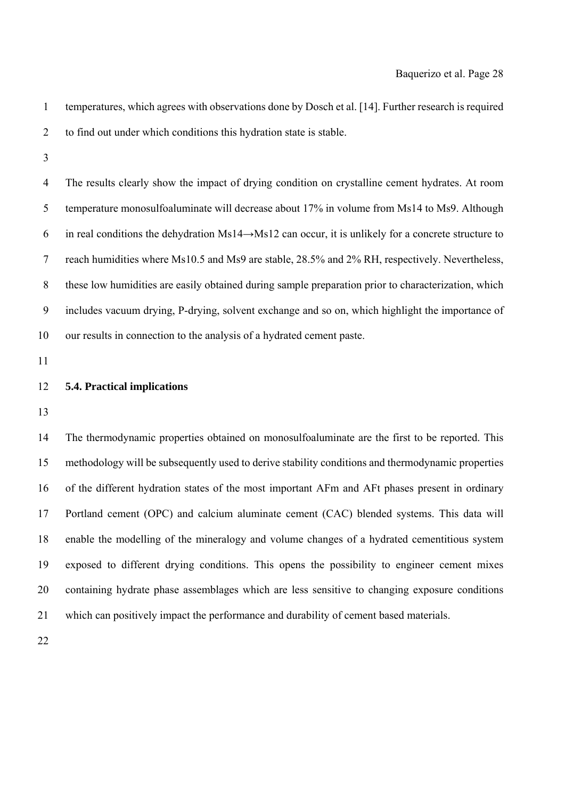- 1 temperatures, which agrees with observations done by Dosch et al. [14]. Further research is required 2 to find out under which conditions this hydration state is stable.
- 3

4 The results clearly show the impact of drying condition on crystalline cement hydrates. At room 5 temperature monosulfoaluminate will decrease about 17% in volume from Ms14 to Ms9. Although 6 in real conditions the dehydration Ms14→Ms12 can occur, it is unlikely for a concrete structure to 7 reach humidities where Ms10.5 and Ms9 are stable, 28.5% and 2% RH, respectively. Nevertheless, 8 these low humidities are easily obtained during sample preparation prior to characterization, which 9 includes vacuum drying, P-drying, solvent exchange and so on, which highlight the importance of 10 our results in connection to the analysis of a hydrated cement paste.

11

## 12 **5.4. Practical implications**

13

14 The thermodynamic properties obtained on monosulfoaluminate are the first to be reported. This 15 methodology will be subsequently used to derive stability conditions and thermodynamic properties 16 of the different hydration states of the most important AFm and AFt phases present in ordinary 17 Portland cement (OPC) and calcium aluminate cement (CAC) blended systems. This data will 18 enable the modelling of the mineralogy and volume changes of a hydrated cementitious system 19 exposed to different drying conditions. This opens the possibility to engineer cement mixes 20 containing hydrate phase assemblages which are less sensitive to changing exposure conditions 21 which can positively impact the performance and durability of cement based materials.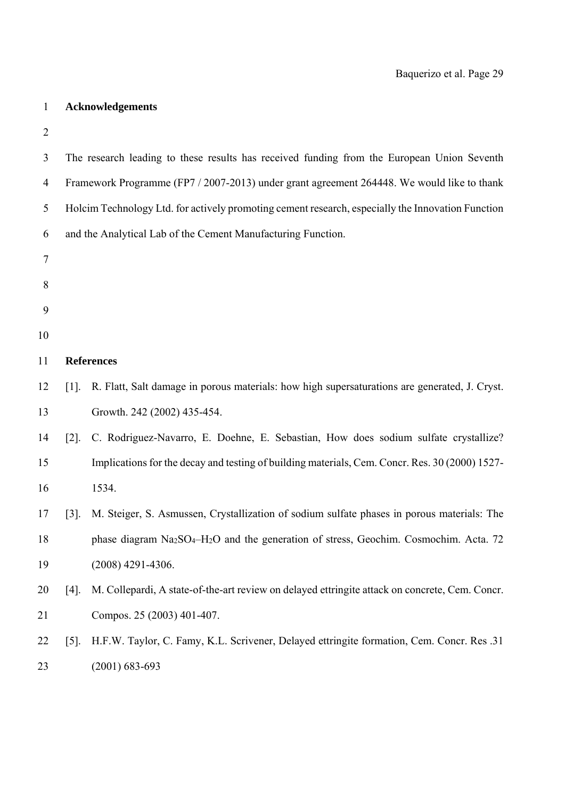# 1 **Acknowledgements**

| 3              |                     | The research leading to these results has received funding from the European Union Seventh        |
|----------------|---------------------|---------------------------------------------------------------------------------------------------|
| $\overline{4}$ |                     | Framework Programme (FP7 / 2007-2013) under grant agreement 264448. We would like to thank        |
| 5              |                     | Holcim Technology Ltd. for actively promoting cement research, especially the Innovation Function |
| 6              |                     | and the Analytical Lab of the Cement Manufacturing Function.                                      |
| $\overline{7}$ |                     |                                                                                                   |
| 8              |                     |                                                                                                   |
| 9              |                     |                                                                                                   |
| 10             |                     |                                                                                                   |
| 11             | <b>References</b>   |                                                                                                   |
| 12             | $\lceil 1 \rceil$ . | R. Flatt, Salt damage in porous materials: how high supersaturations are generated, J. Cryst.     |
| 13             |                     | Growth. 242 (2002) 435-454.                                                                       |
| 14             | $\lceil 2 \rceil$ . | C. Rodriguez-Navarro, E. Doehne, E. Sebastian, How does sodium sulfate crystallize?               |
| 15             |                     | Implications for the decay and testing of building materials, Cem. Concr. Res. 30 (2000) 1527-    |
| 16             |                     | 1534.                                                                                             |
| 17             | $\lceil 3 \rceil$ . | M. Steiger, S. Asmussen, Crystallization of sodium sulfate phases in porous materials: The        |
| 18             |                     | phase diagram Na2SO4-H2O and the generation of stress, Geochim. Cosmochim. Acta. 72               |
| 19             |                     | $(2008)$ 4291-4306.                                                                               |
| 20             | $[4]$ .             | M. Collepardi, A state-of-the-art review on delayed ettringite attack on concrete, Cem. Concr.    |
| 21             |                     | Compos. 25 (2003) 401-407.                                                                        |
| 22             | $\lceil 5 \rceil$ . | H.F.W. Taylor, C. Famy, K.L. Scrivener, Delayed ettringite formation, Cem. Concr. Res. 31         |
| 23             |                     | $(2001) 683 - 693$                                                                                |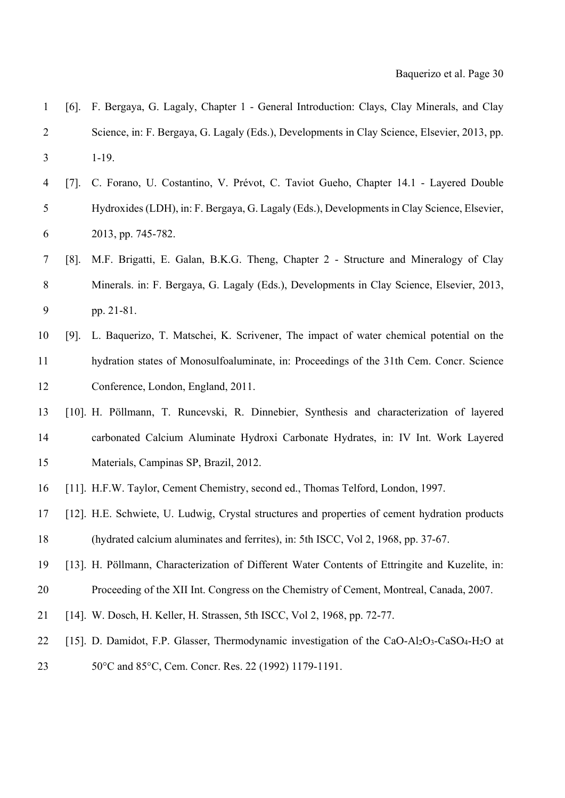| $\mathbf{1}$   | $[6]$ .             | F. Bergaya, G. Lagaly, Chapter 1 - General Introduction: Clays, Clay Minerals, and Clay         |
|----------------|---------------------|-------------------------------------------------------------------------------------------------|
| $\overline{2}$ |                     | Science, in: F. Bergaya, G. Lagaly (Eds.), Developments in Clay Science, Elsevier, 2013, pp.    |
| 3              |                     | $1-19.$                                                                                         |
| $\overline{4}$ | $\lceil 7 \rceil$ . | C. Forano, U. Costantino, V. Prévot, C. Taviot Gueho, Chapter 14.1 - Layered Double             |
| 5              |                     | Hydroxides (LDH), in: F. Bergaya, G. Lagaly (Eds.), Developments in Clay Science, Elsevier,     |
| 6              |                     | 2013, pp. 745-782.                                                                              |
| 7              | $[8]$ .             | M.F. Brigatti, E. Galan, B.K.G. Theng, Chapter 2 - Structure and Mineralogy of Clay             |
| 8              |                     | Minerals. in: F. Bergaya, G. Lagaly (Eds.), Developments in Clay Science, Elsevier, 2013,       |
| 9              |                     | pp. 21-81.                                                                                      |
| 10             | $[9]$ .             | L. Baquerizo, T. Matschei, K. Scrivener, The impact of water chemical potential on the          |
| 11             |                     | hydration states of Monosulfoaluminate, in: Proceedings of the 31th Cem. Concr. Science         |
| 12             |                     | Conference, London, England, 2011.                                                              |
| 13             |                     | [10]. H. Pöllmann, T. Runcevski, R. Dinnebier, Synthesis and characterization of layered        |
| 14             |                     | carbonated Calcium Aluminate Hydroxi Carbonate Hydrates, in: IV Int. Work Layered               |
| 15             |                     | Materials, Campinas SP, Brazil, 2012.                                                           |
| 16             |                     | [11]. H.F.W. Taylor, Cement Chemistry, second ed., Thomas Telford, London, 1997.                |
| 17             |                     | [12]. H.E. Schwiete, U. Ludwig, Crystal structures and properties of cement hydration products  |
| 18             |                     | (hydrated calcium aluminates and ferrites), in: 5th ISCC, Vol 2, 1968, pp. 37-67.               |
| 19             |                     | [13]. H. Pöllmann, Characterization of Different Water Contents of Ettringite and Kuzelite, in: |
| 20             |                     | Proceeding of the XII Int. Congress on the Chemistry of Cement, Montreal, Canada, 2007.         |
| 21             |                     | [14]. W. Dosch, H. Keller, H. Strassen, 5th ISCC, Vol 2, 1968, pp. 72-77.                       |
| 22             |                     | [15]. D. Damidot, F.P. Glasser, Thermodynamic investigation of the CaO-Al2O3-CaSO4-H2O at       |
| 23             |                     | 50°C and 85°C, Cem. Concr. Res. 22 (1992) 1179-1191.                                            |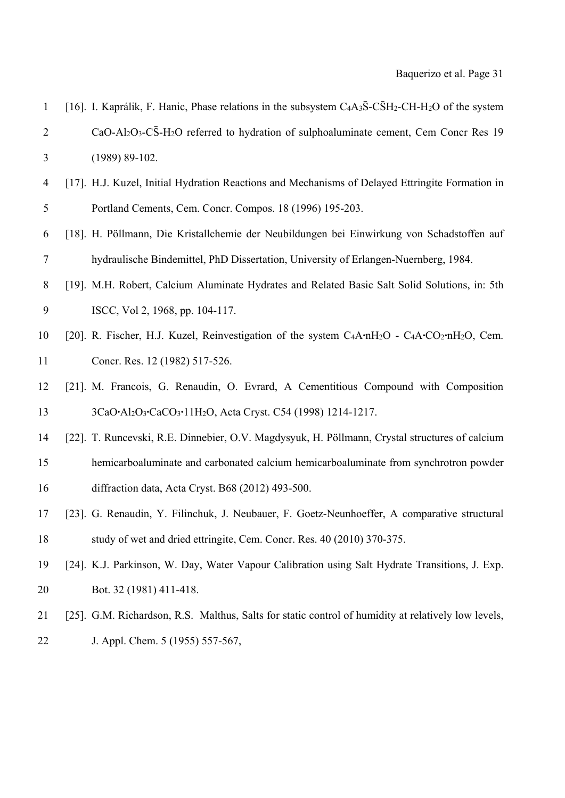| $\mathbf{1}$   | [16]. I. Kaprálik, F. Hanic, Phase relations in the subsystem $C_4A_3\overline{S}-C\overline{S}H_2-CH-H_2O$ of the system                                  |
|----------------|------------------------------------------------------------------------------------------------------------------------------------------------------------|
| $\overline{2}$ | CaO-Al <sub>2</sub> O <sub>3</sub> -C <sub>2</sub> -H <sub>2</sub> O referred to hydration of sulphoaluminate cement, Cem Concr Res 19                     |
| 3              | $(1989) 89-102.$                                                                                                                                           |
| 4              | [17]. H.J. Kuzel, Initial Hydration Reactions and Mechanisms of Delayed Ettringite Formation in                                                            |
| 5              | Portland Cements, Cem. Concr. Compos. 18 (1996) 195-203.                                                                                                   |
| 6              | [18]. H. Pöllmann, Die Kristallchemie der Neubildungen bei Einwirkung von Schadstoffen auf                                                                 |
| 7              | hydraulische Bindemittel, PhD Dissertation, University of Erlangen-Nuernberg, 1984.                                                                        |
| 8              | [19]. M.H. Robert, Calcium Aluminate Hydrates and Related Basic Salt Solid Solutions, in: 5th                                                              |
| 9              | ISCC, Vol 2, 1968, pp. 104-117.                                                                                                                            |
| 10             | [20]. R. Fischer, H.J. Kuzel, Reinvestigation of the system C <sub>4</sub> A·nH <sub>2</sub> O - C <sub>4</sub> A·CO <sub>2</sub> ·nH <sub>2</sub> O, Cem. |
| 11             | Concr. Res. 12 (1982) 517-526.                                                                                                                             |
| 12             | [21]. M. Francois, G. Renaudin, O. Evrard, A Cementitious Compound with Composition                                                                        |
| 13             | 3CaO·Al2O3·CaCO3·11H2O, Acta Cryst. C54 (1998) 1214-1217.                                                                                                  |
| 14             | [22]. T. Runcevski, R.E. Dinnebier, O.V. Magdysyuk, H. Pöllmann, Crystal structures of calcium                                                             |
| 15             | hemicarboaluminate and carbonated calcium hemicarboaluminate from synchrotron powder                                                                       |
| 16             | diffraction data, Acta Cryst. B68 (2012) 493-500.                                                                                                          |
| 17             | [23]. G. Renaudin, Y. Filinchuk, J. Neubauer, F. Goetz-Neunhoeffer, A comparative structural                                                               |
| 18             | study of wet and dried ettringite, Cem. Concr. Res. 40 (2010) 370-375.                                                                                     |
| 19             | [24]. K.J. Parkinson, W. Day, Water Vapour Calibration using Salt Hydrate Transitions, J. Exp.                                                             |
| 20             | Bot. 32 (1981) 411-418.                                                                                                                                    |
| 21             | [25]. G.M. Richardson, R.S. Malthus, Salts for static control of humidity at relatively low levels,                                                        |
| 22             | J. Appl. Chem. 5 (1955) 557-567,                                                                                                                           |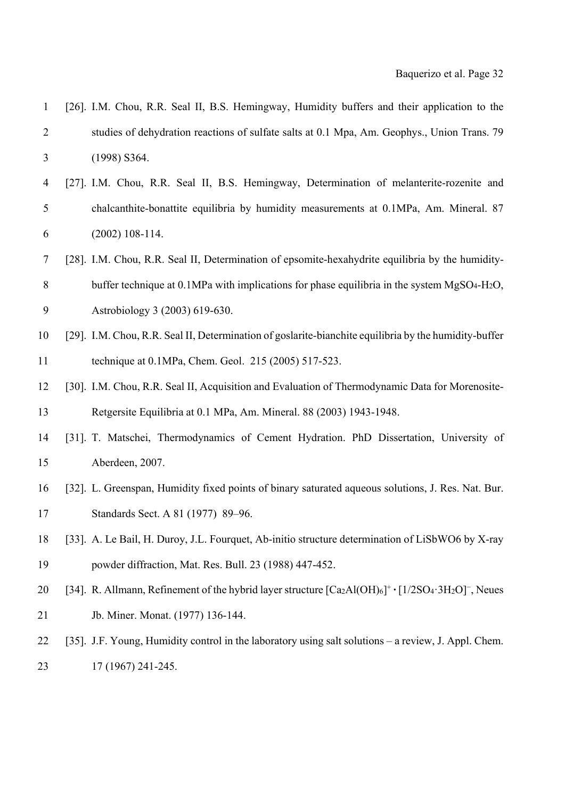| $\mathbf{1}$ | [26]. I.M. Chou, R.R. Seal II, B.S. Hemingway, Humidity buffers and their application to the                         |
|--------------|----------------------------------------------------------------------------------------------------------------------|
| 2            | studies of dehydration reactions of sulfate salts at 0.1 Mpa, Am. Geophys., Union Trans. 79                          |
| 3            | $(1998)$ S364.                                                                                                       |
| 4            | [27]. I.M. Chou, R.R. Seal II, B.S. Hemingway, Determination of melanterite-rozenite and                             |
| 5            | chalcanthite-bonattite equilibria by humidity measurements at 0.1MPa, Am. Mineral. 87                                |
| 6            | $(2002)$ 108-114.                                                                                                    |
| 7            | [28]. I.M. Chou, R.R. Seal II, Determination of epsomite-hexahydrite equilibria by the humidity-                     |
| 8            | buffer technique at 0.1MPa with implications for phase equilibria in the system MgSO <sub>4</sub> -H <sub>2</sub> O, |
| 9            | Astrobiology 3 (2003) 619-630.                                                                                       |
| 10           | [29]. I.M. Chou, R.R. Seal II, Determination of goslarite-bianchite equilibria by the humidity-buffer                |
| 11           | technique at 0.1MPa, Chem. Geol. 215 (2005) 517-523.                                                                 |
| 12           | [30]. I.M. Chou, R.R. Seal II, Acquisition and Evaluation of Thermodynamic Data for Morenosite-                      |
| 13           | Retgersite Equilibria at 0.1 MPa, Am. Mineral. 88 (2003) 1943-1948.                                                  |
| 14           | [31]. T. Matschei, Thermodynamics of Cement Hydration. PhD Dissertation, University of                               |
| 15           | Aberdeen, 2007.                                                                                                      |
| 16           | [32]. L. Greenspan, Humidity fixed points of binary saturated aqueous solutions, J. Res. Nat. Bur.                   |
| 17           | Standards Sect. A 81 (1977) 89-96.                                                                                   |
| 18           | [33]. A. Le Bail, H. Duroy, J.L. Fourquet, Ab-initio structure determination of LiSbWO6 by X-ray                     |
| 19           | powder diffraction, Mat. Res. Bull. 23 (1988) 447-452.                                                               |
| 20           | [34]. R. Allmann, Refinement of the hybrid layer structure $[Ca_2Al(OH)_6]^+ \cdot [1/2SO_4 \cdot 3H_2O]^-,$ Neues   |
| 21           | Jb. Miner. Monat. (1977) 136-144.                                                                                    |
| 22           | [35]. J.F. Young, Humidity control in the laboratory using salt solutions – a review, J. Appl. Chem.                 |
| 23           | 17 (1967) 241-245.                                                                                                   |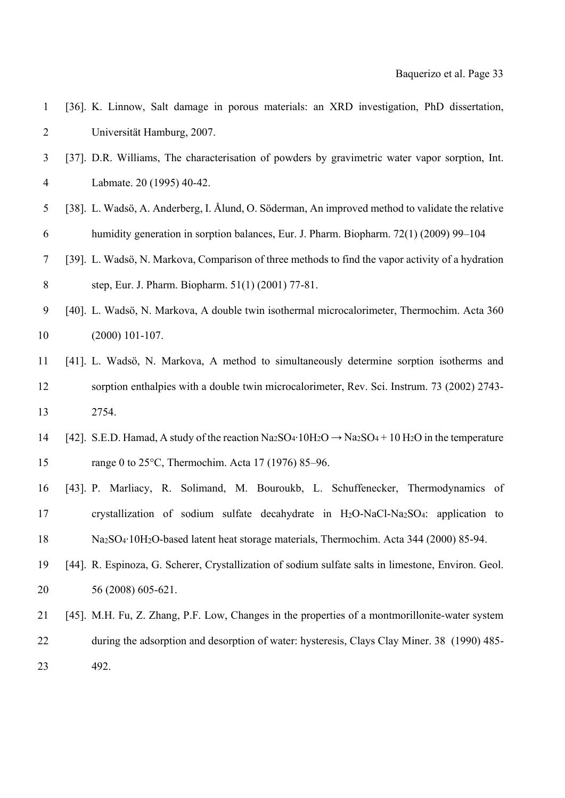| $\mathbf{1}$   | [36]. K. Linnow, Salt damage in porous materials: an XRD investigation, PhD dissertation,                                                                                              |
|----------------|----------------------------------------------------------------------------------------------------------------------------------------------------------------------------------------|
| $\overline{c}$ | Universität Hamburg, 2007.                                                                                                                                                             |
| 3              | [37]. D.R. Williams, The characterisation of powders by gravimetric water vapor sorption, Int.                                                                                         |
| 4              | Labmate. 20 (1995) 40-42.                                                                                                                                                              |
| 5              | [38]. L. Wadsö, A. Anderberg, I. Ålund, O. Söderman, An improved method to validate the relative                                                                                       |
| 6              | humidity generation in sorption balances, Eur. J. Pharm. Biopharm. 72(1) (2009) 99-104                                                                                                 |
| 7              | [39]. L. Wadsö, N. Markova, Comparison of three methods to find the vapor activity of a hydration                                                                                      |
| $8\,$          | step, Eur. J. Pharm. Biopharm. 51(1) (2001) 77-81.                                                                                                                                     |
| 9              | [40]. L. Wadsö, N. Markova, A double twin isothermal microcalorimeter, Thermochim. Acta 360                                                                                            |
| 10             | $(2000)$ 101-107.                                                                                                                                                                      |
| 11             | [41]. L. Wadsö, N. Markova, A method to simultaneously determine sorption isotherms and                                                                                                |
| 12             | sorption enthalpies with a double twin microcalorimeter, Rev. Sci. Instrum. 73 (2002) 2743-                                                                                            |
| 13             | 2754.                                                                                                                                                                                  |
| 14             | [42]. S.E.D. Hamad, A study of the reaction Na <sub>2</sub> SO <sub>4</sub> ·10H <sub>2</sub> O $\rightarrow$ Na <sub>2</sub> SO <sub>4</sub> + 10 H <sub>2</sub> O in the temperature |
| 15             | range 0 to 25°C, Thermochim. Acta 17 (1976) 85–96.                                                                                                                                     |
| 16             | [43]. P. Marliacy, R. Solimand, M. Bouroukb, L. Schuffenecker, Thermodynamics of                                                                                                       |
| 17             | crystallization of sodium sulfate decahydrate in H <sub>2</sub> O-NaCl-Na <sub>2</sub> SO <sub>4</sub> : application to                                                                |
| 18             | Na <sub>2</sub> SO <sub>4</sub> ·10H <sub>2</sub> O-based latent heat storage materials, Thermochim. Acta 344 (2000) 85-94.                                                            |
| 19             | [44]. R. Espinoza, G. Scherer, Crystallization of sodium sulfate salts in limestone, Environ. Geol.                                                                                    |
| 20             | 56 (2008) 605-621.                                                                                                                                                                     |
| 21             | [45]. M.H. Fu, Z. Zhang, P.F. Low, Changes in the properties of a montmorillonite-water system                                                                                         |
| 22             | during the adsorption and desorption of water: hysteresis, Clays Clay Miner. 38 (1990) 485-                                                                                            |
| 23             | 492.                                                                                                                                                                                   |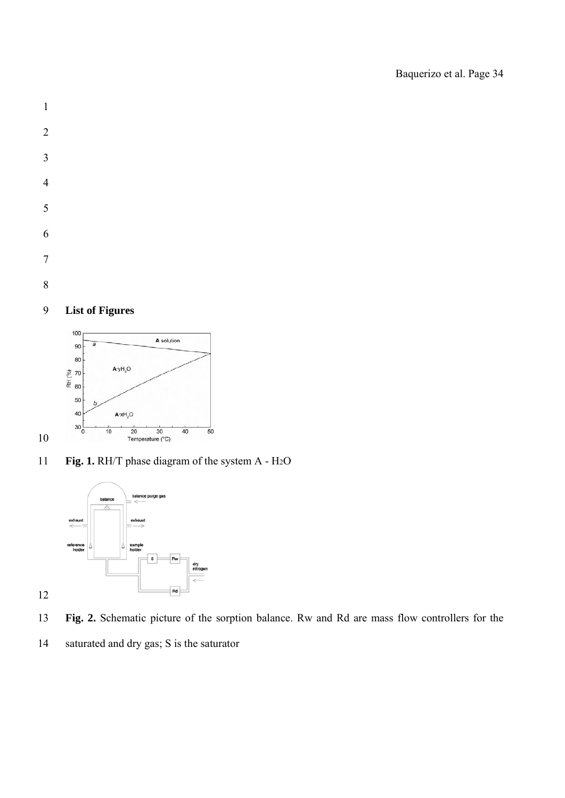- 
- 

# **List of Figures**



**Fig. 1.** RH/T phase diagram of the system A - H2O



- **Fig. 2.** Schematic picture of the sorption balance. Rw and Rd are mass flow controllers for the
- 14 saturated and dry gas; S is the saturator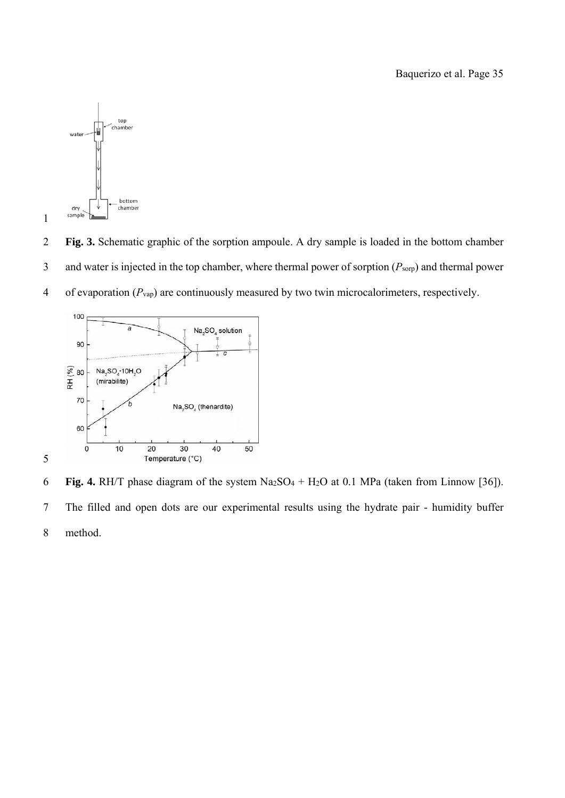

2 **Fig. 3.** Schematic graphic of the sorption ampoule. A dry sample is loaded in the bottom chamber

3 and water is injected in the top chamber, where thermal power of sorption (*P*sorp) and thermal power

4 of evaporation (*P*vap) are continuously measured by two twin microcalorimeters, respectively.



6 **Fig. 4.** RH/T phase diagram of the system Na2SO4 + H2O at 0.1 MPa (taken from Linnow [36]). 7 The filled and open dots are our experimental results using the hydrate pair - humidity buffer 8 method.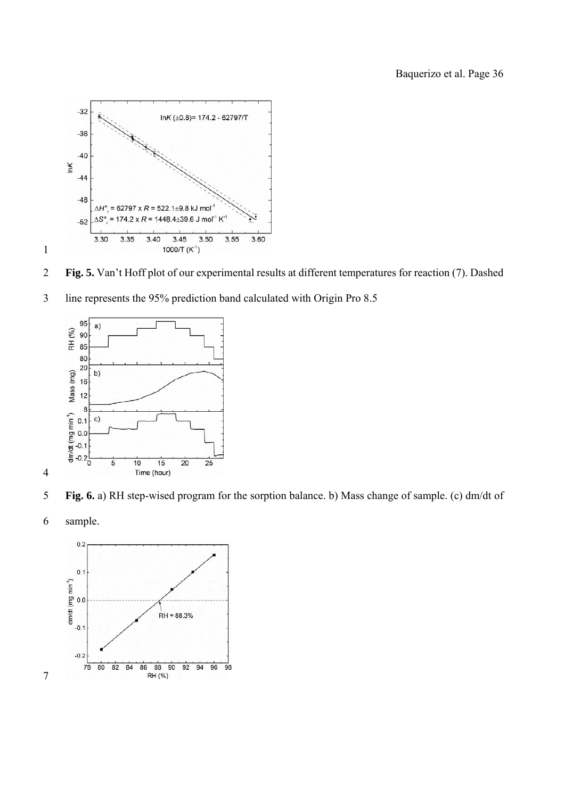

**Fig. 5.** Van't Hoff plot of our experimental results at different temperatures for reaction (7). Dashed





- **Fig. 6.** a) RH step-wised program for the sorption balance. b) Mass change of sample. (c) dm/dt of
- 6 sample.

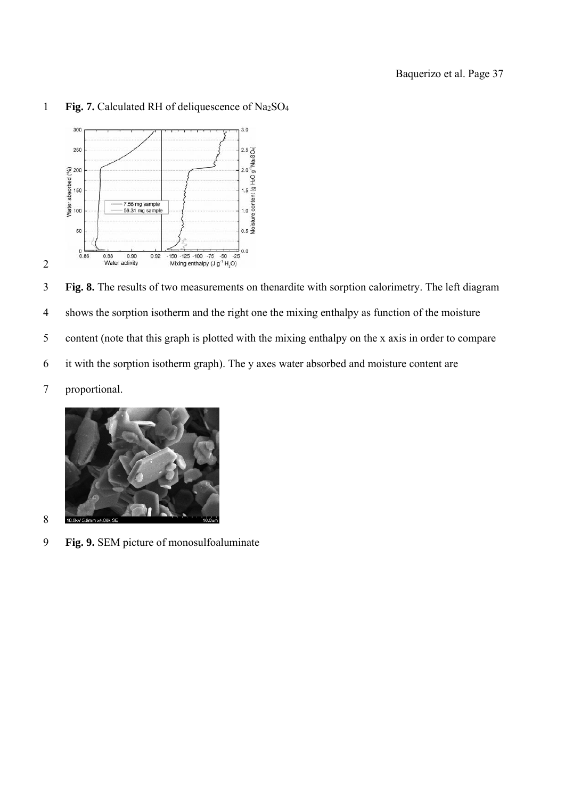

## 1 **Fig. 7.** Calculated RH of deliquescence of Na2SO4

3 **Fig. 8.** The results of two measurements on thenardite with sorption calorimetry. The left diagram 4 shows the sorption isotherm and the right one the mixing enthalpy as function of the moisture 5 content (note that this graph is plotted with the mixing enthalpy on the x axis in order to compare 6 it with the sorption isotherm graph). The y axes water absorbed and moisture content are 7 proportional.



9 **Fig. 9.** SEM picture of monosulfoaluminate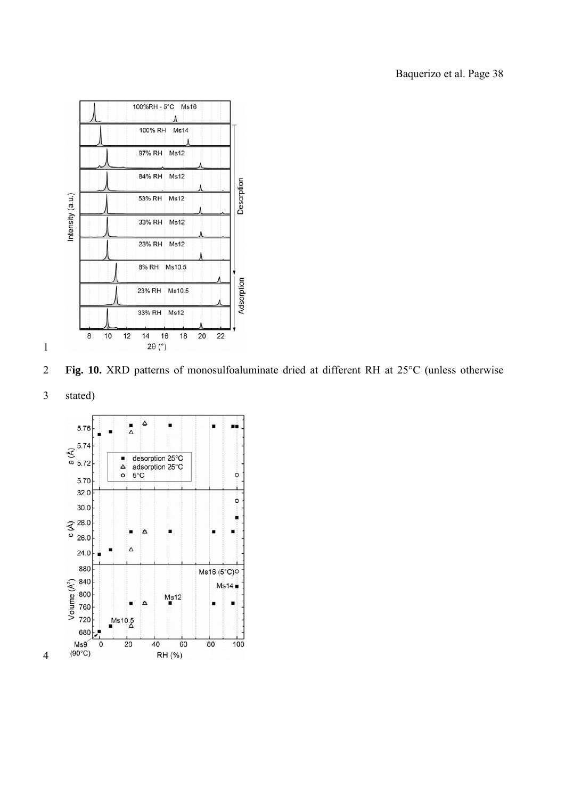





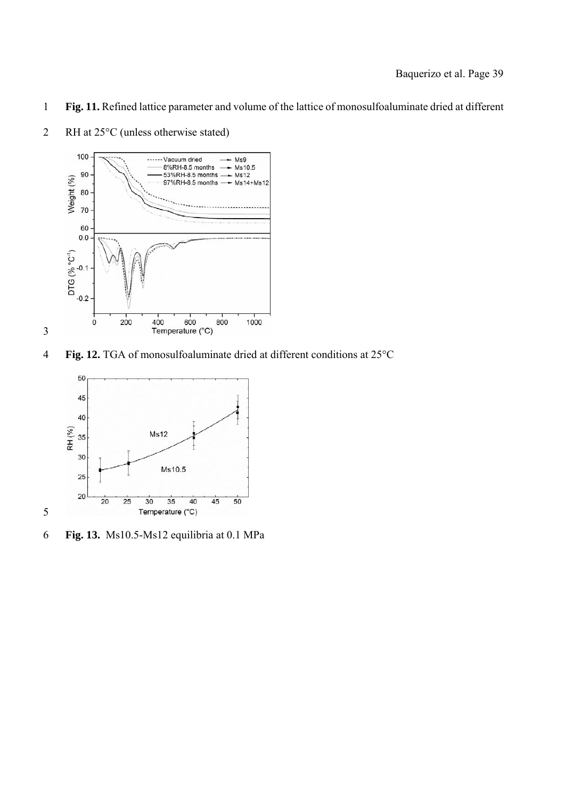**Fig. 11.** Refined lattice parameter and volume of the lattice of monosulfoaluminate dried at different



2 RH at 25°C (unless otherwise stated)

**Fig. 12.** TGA of monosulfoaluminate dried at different conditions at 25°C



**Fig. 13.** Ms10.5-Ms12 equilibria at 0.1 MPa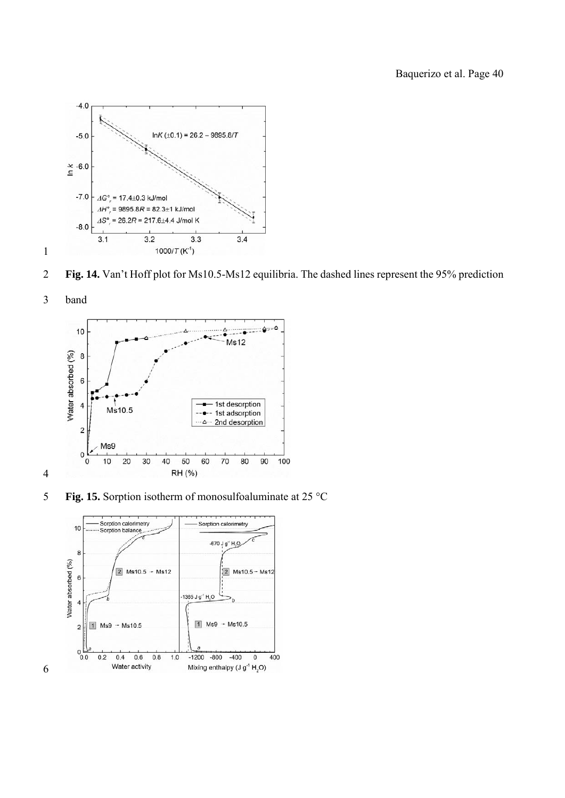

**Fig. 14.** Van't Hoff plot for Ms10.5-Ms12 equilibria. The dashed lines represent the 95% prediction





**Fig. 15.** Sorption isotherm of monosulfoaluminate at 25 °C